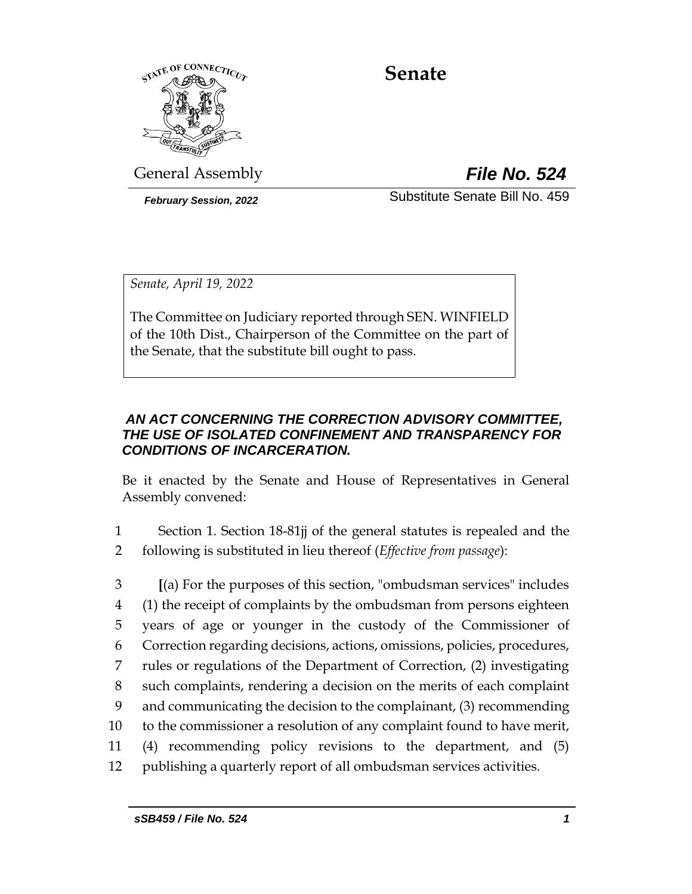

# **Senate**

General Assembly *File No. 524*

*February Session, 2022* Substitute Senate Bill No. 459

*Senate, April 19, 2022*

The Committee on Judiciary reported through SEN. WINFIELD of the 10th Dist., Chairperson of the Committee on the part of the Senate, that the substitute bill ought to pass.

## *AN ACT CONCERNING THE CORRECTION ADVISORY COMMITTEE, THE USE OF ISOLATED CONFINEMENT AND TRANSPARENCY FOR CONDITIONS OF INCARCERATION.*

Be it enacted by the Senate and House of Representatives in General Assembly convened:

- 1 Section 1. Section 18-81jj of the general statutes is repealed and the 2 following is substituted in lieu thereof (*Effective from passage*):
- 3 **[**(a) For the purposes of this section, "ombudsman services" includes 4 (1) the receipt of complaints by the ombudsman from persons eighteen 5 years of age or younger in the custody of the Commissioner of 6 Correction regarding decisions, actions, omissions, policies, procedures, 7 rules or regulations of the Department of Correction, (2) investigating 8 such complaints, rendering a decision on the merits of each complaint 9 and communicating the decision to the complainant, (3) recommending 10 to the commissioner a resolution of any complaint found to have merit, 11 (4) recommending policy revisions to the department, and (5) 12 publishing a quarterly report of all ombudsman services activities.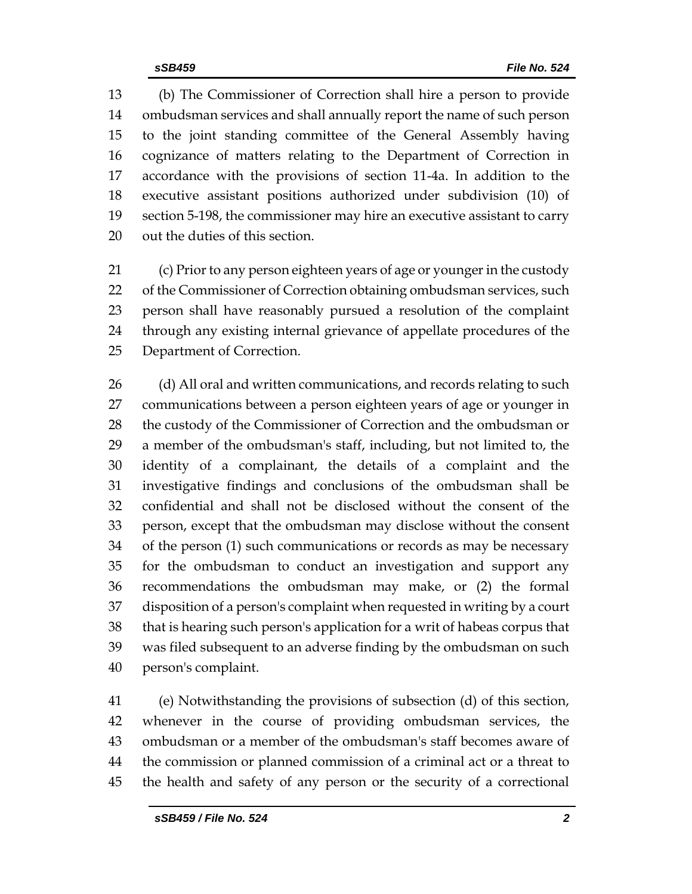(b) The Commissioner of Correction shall hire a person to provide ombudsman services and shall annually report the name of such person to the joint standing committee of the General Assembly having cognizance of matters relating to the Department of Correction in accordance with the provisions of section 11-4a. In addition to the executive assistant positions authorized under subdivision (10) of section 5-198, the commissioner may hire an executive assistant to carry out the duties of this section.

 (c) Prior to any person eighteen years of age or younger in the custody 22 of the Commissioner of Correction obtaining ombudsman services, such person shall have reasonably pursued a resolution of the complaint through any existing internal grievance of appellate procedures of the Department of Correction.

26 (d) All oral and written communications, and records relating to such communications between a person eighteen years of age or younger in 28 the custody of the Commissioner of Correction and the ombudsman or a member of the ombudsman's staff, including, but not limited to, the identity of a complainant, the details of a complaint and the investigative findings and conclusions of the ombudsman shall be confidential and shall not be disclosed without the consent of the person, except that the ombudsman may disclose without the consent of the person (1) such communications or records as may be necessary for the ombudsman to conduct an investigation and support any recommendations the ombudsman may make, or (2) the formal disposition of a person's complaint when requested in writing by a court that is hearing such person's application for a writ of habeas corpus that was filed subsequent to an adverse finding by the ombudsman on such person's complaint.

 (e) Notwithstanding the provisions of subsection (d) of this section, whenever in the course of providing ombudsman services, the ombudsman or a member of the ombudsman's staff becomes aware of the commission or planned commission of a criminal act or a threat to the health and safety of any person or the security of a correctional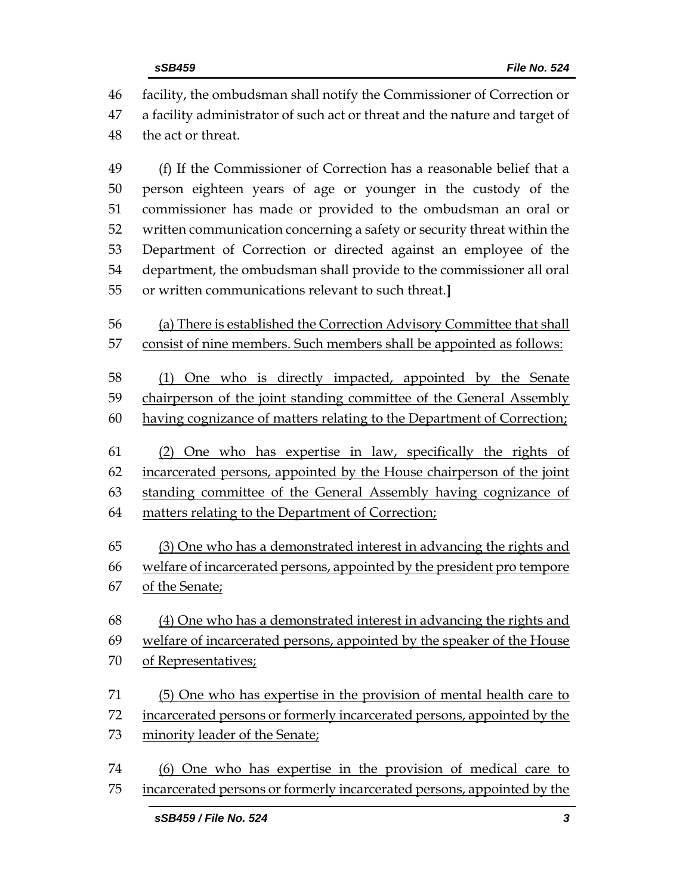| 46<br>47<br>48 | facility, the ombudsman shall notify the Commissioner of Correction or<br>a facility administrator of such act or threat and the nature and target of<br>the act or threat. |
|----------------|-----------------------------------------------------------------------------------------------------------------------------------------------------------------------------|
| 49             | (f) If the Commissioner of Correction has a reasonable belief that a                                                                                                        |
| 50             | person eighteen years of age or younger in the custody of the                                                                                                               |
| 51             | commissioner has made or provided to the ombudsman an oral or                                                                                                               |
| 52             | written communication concerning a safety or security threat within the                                                                                                     |
| 53             | Department of Correction or directed against an employee of the                                                                                                             |
| 54             | department, the ombudsman shall provide to the commissioner all oral                                                                                                        |
| 55             | or written communications relevant to such threat.]                                                                                                                         |
| 56             | (a) There is established the Correction Advisory Committee that shall                                                                                                       |
| 57             | consist of nine members. Such members shall be appointed as follows:                                                                                                        |
| 58             | (1) One who is directly impacted, appointed by the Senate                                                                                                                   |
| 59             | chairperson of the joint standing committee of the General Assembly                                                                                                         |
| 60             | having cognizance of matters relating to the Department of Correction;                                                                                                      |
| 61             | (2) One who has expertise in law, specifically the rights of                                                                                                                |
| 62             | incarcerated persons, appointed by the House chairperson of the joint                                                                                                       |
| 63             | standing committee of the General Assembly having cognizance of                                                                                                             |
| 64             | matters relating to the Department of Correction;                                                                                                                           |
| 65             | (3) One who has a demonstrated interest in advancing the rights and                                                                                                         |
| 66             | welfare of incarcerated persons, appointed by the president pro tempore                                                                                                     |
| 67             | of the Senate;                                                                                                                                                              |
| 68             | (4) One who has a demonstrated interest in advancing the rights and                                                                                                         |
| 69             | welfare of incarcerated persons, appointed by the speaker of the House                                                                                                      |
| 70             | of Representatives;                                                                                                                                                         |
| 71             | (5) One who has expertise in the provision of mental health care to                                                                                                         |
| 72             | incarcerated persons or formerly incarcerated persons, appointed by the                                                                                                     |
| 73             | minority leader of the Senate;                                                                                                                                              |
| 74             | (6) One who has expertise in the provision of medical care to                                                                                                               |
| 75             | incarcerated persons or formerly incarcerated persons, appointed by the                                                                                                     |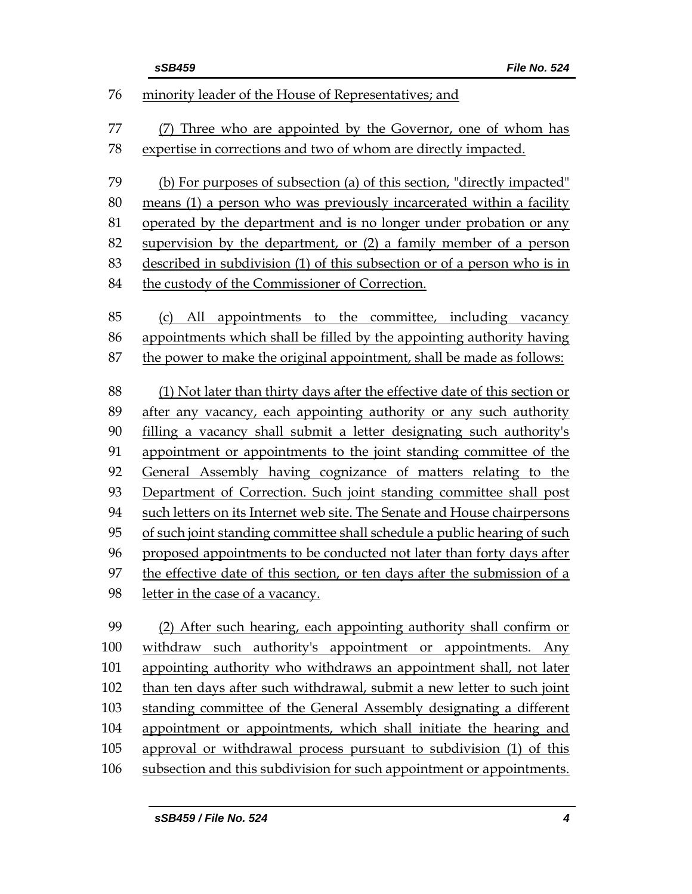|     | sSB459<br>File No. 524                                                     |
|-----|----------------------------------------------------------------------------|
| 76  | minority leader of the House of Representatives; and                       |
| 77  | (7) Three who are appointed by the Governor, one of whom has               |
| 78  | expertise in corrections and two of whom are directly impacted.            |
|     |                                                                            |
| 79  | (b) For purposes of subsection (a) of this section, "directly impacted"    |
| 80  | means (1) a person who was previously incarcerated within a facility       |
| 81  | operated by the department and is no longer under probation or any         |
| 82  | supervision by the department, or (2) a family member of a person          |
| 83  | described in subdivision (1) of this subsection or of a person who is in   |
| 84  | the custody of the Commissioner of Correction.                             |
| 85  | (c) All appointments to the committee, including vacancy                   |
| 86  | appointments which shall be filled by the appointing authority having      |
| 87  | the power to make the original appointment, shall be made as follows:      |
|     |                                                                            |
| 88  | (1) Not later than thirty days after the effective date of this section or |
| 89  | after any vacancy, each appointing authority or any such authority         |
| 90  | filling a vacancy shall submit a letter designating such authority's       |
| 91  | appointment or appointments to the joint standing committee of the         |
| 92  | General Assembly having cognizance of matters relating to the              |
| 93  | Department of Correction. Such joint standing committee shall post         |
| 94  | such letters on its Internet web site. The Senate and House chairpersons   |
| 95  | of such joint standing committee shall schedule a public hearing of such   |
| 96  | proposed appointments to be conducted not later than forty days after      |
| 97  | the effective date of this section, or ten days after the submission of a  |
| 98  | letter in the case of a vacancy.                                           |
| 99  | (2) After such hearing, each appointing authority shall confirm or         |
| 100 | withdraw such authority's appointment or appointments. Any                 |
| 101 | appointing authority who withdraws an appointment shall, not later         |
| 102 | than ten days after such withdrawal, submit a new letter to such joint     |
| 103 | standing committee of the General Assembly designating a different         |
| 104 | appointment or appointments, which shall initiate the hearing and          |
| 105 | approval or withdrawal process pursuant to subdivision (1) of this         |
| 106 | subsection and this subdivision for such appointment or appointments.      |
|     |                                                                            |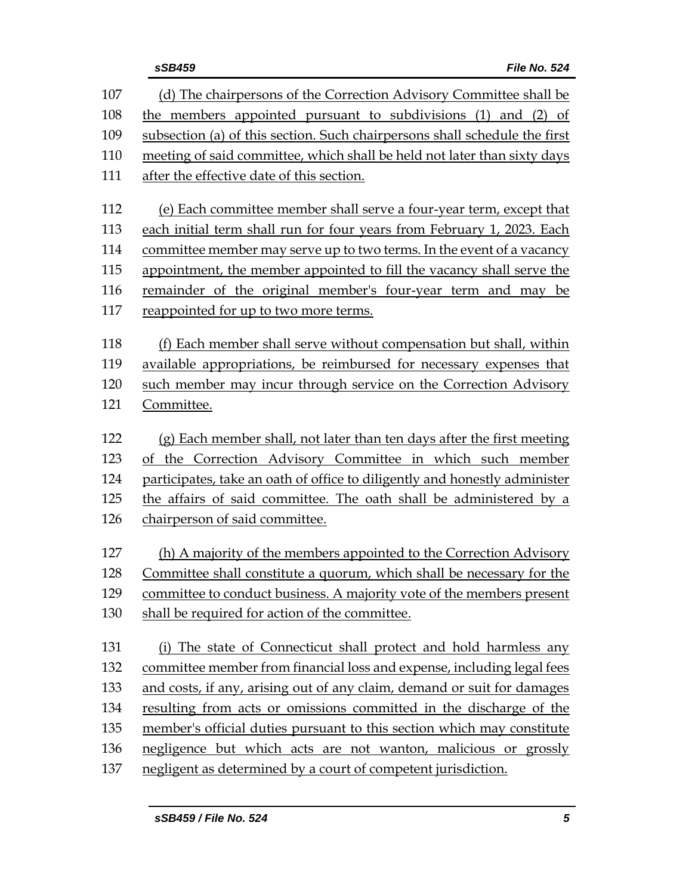| 107 | (d) The chairpersons of the Correction Advisory Committee shall be                                                                             |
|-----|------------------------------------------------------------------------------------------------------------------------------------------------|
| 108 | the members appointed pursuant to subdivisions (1) and (2) of                                                                                  |
| 109 | subsection (a) of this section. Such chairpersons shall schedule the first                                                                     |
| 110 | meeting of said committee, which shall be held not later than sixty days                                                                       |
| 111 | after the effective date of this section.                                                                                                      |
| 112 | (e) Each committee member shall serve a four-year term, except that                                                                            |
| 113 | each initial term shall run for four years from February 1, 2023. Each                                                                         |
| 114 |                                                                                                                                                |
| 115 | committee member may serve up to two terms. In the event of a vacancy<br>appointment, the member appointed to fill the vacancy shall serve the |
| 116 |                                                                                                                                                |
|     | remainder of the original member's four-year term and may be                                                                                   |
| 117 | reappointed for up to two more terms.                                                                                                          |
| 118 | (f) Each member shall serve without compensation but shall, within                                                                             |
| 119 | available appropriations, be reimbursed for necessary expenses that                                                                            |
| 120 | such member may incur through service on the Correction Advisory                                                                               |
| 121 | Committee.                                                                                                                                     |
|     |                                                                                                                                                |
| 122 | (g) Each member shall, not later than ten days after the first meeting                                                                         |
| 123 | of the Correction Advisory Committee in which such member                                                                                      |
| 124 | participates, take an oath of office to diligently and honestly administer                                                                     |
| 125 | the affairs of said committee. The oath shall be administered by a                                                                             |
| 126 | chairperson of said committee.                                                                                                                 |
| 127 | (h) A majority of the members appointed to the Correction Advisory                                                                             |
| 128 | Committee shall constitute a quorum, which shall be necessary for the                                                                          |
| 129 | committee to conduct business. A majority vote of the members present                                                                          |
| 130 | shall be required for action of the committee.                                                                                                 |
|     |                                                                                                                                                |
| 131 | (i) The state of Connecticut shall protect and hold harmless any                                                                               |
| 132 | committee member from financial loss and expense, including legal fees                                                                         |
| 133 | and costs, if any, arising out of any claim, demand or suit for damages                                                                        |
| 134 | resulting from acts or omissions committed in the discharge of the                                                                             |
| 135 | member's official duties pursuant to this section which may constitute                                                                         |
| 136 | negligence but which acts are not wanton, malicious or grossly                                                                                 |
| 137 | negligent as determined by a court of competent jurisdiction.                                                                                  |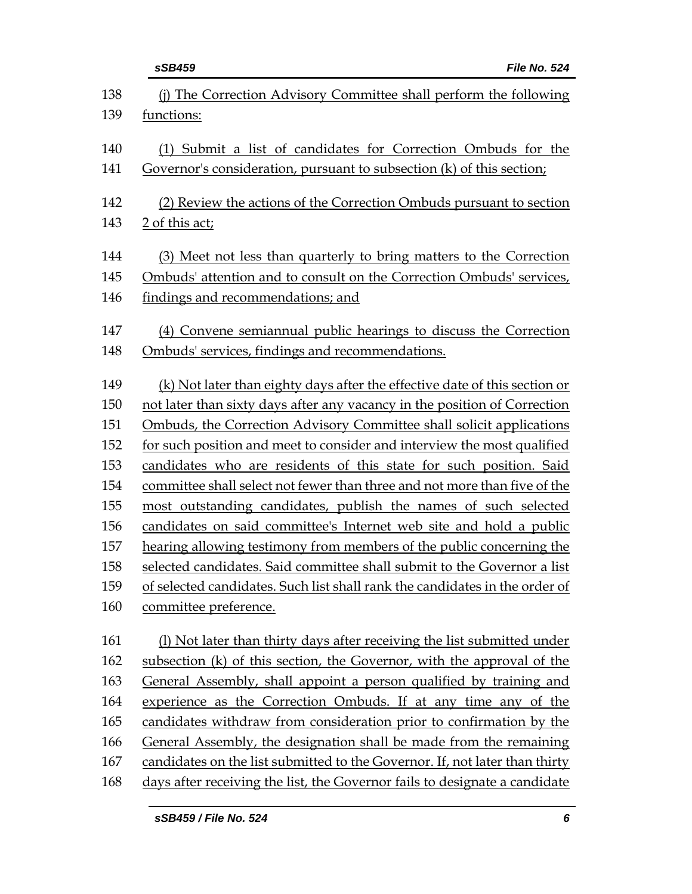|     | sSB459<br>File No. 524                                                      |
|-----|-----------------------------------------------------------------------------|
| 138 | (i) The Correction Advisory Committee shall perform the following           |
| 139 | functions:                                                                  |
| 140 | (1) Submit a list of candidates for Correction Ombuds for the               |
| 141 | Governor's consideration, pursuant to subsection (k) of this section;       |
| 142 | (2) Review the actions of the Correction Ombuds pursuant to section         |
| 143 | 2 of this act;                                                              |
| 144 | (3) Meet not less than quarterly to bring matters to the Correction         |
| 145 | Ombuds' attention and to consult on the Correction Ombuds' services,        |
| 146 | findings and recommendations; and                                           |
| 147 | (4) Convene semiannual public hearings to discuss the Correction            |
| 148 | Ombuds' services, findings and recommendations.                             |
| 149 | (k) Not later than eighty days after the effective date of this section or  |
| 150 | not later than sixty days after any vacancy in the position of Correction   |
| 151 | Ombuds, the Correction Advisory Committee shall solicit applications        |
| 152 | for such position and meet to consider and interview the most qualified     |
| 153 | candidates who are residents of this state for such position. Said          |
| 154 | committee shall select not fewer than three and not more than five of the   |
| 155 | most outstanding candidates, publish the names of such selected             |
| 156 | candidates on said committee's Internet web site and hold a public          |
| 157 | hearing allowing testimony from members of the public concerning the        |
| 158 | selected candidates. Said committee shall submit to the Governor a list     |
| 159 | of selected candidates. Such list shall rank the candidates in the order of |
| 160 | committee preference.                                                       |
| 161 | (1) Not later than thirty days after receiving the list submitted under     |
| 162 | subsection (k) of this section, the Governor, with the approval of the      |
| 163 | General Assembly, shall appoint a person qualified by training and          |
| 164 | experience as the Correction Ombuds. If at any time any of the              |
| 165 | candidates withdraw from consideration prior to confirmation by the         |
| 166 | General Assembly, the designation shall be made from the remaining          |
| 167 | candidates on the list submitted to the Governor. If, not later than thirty |
| 168 | days after receiving the list, the Governor fails to designate a candidate  |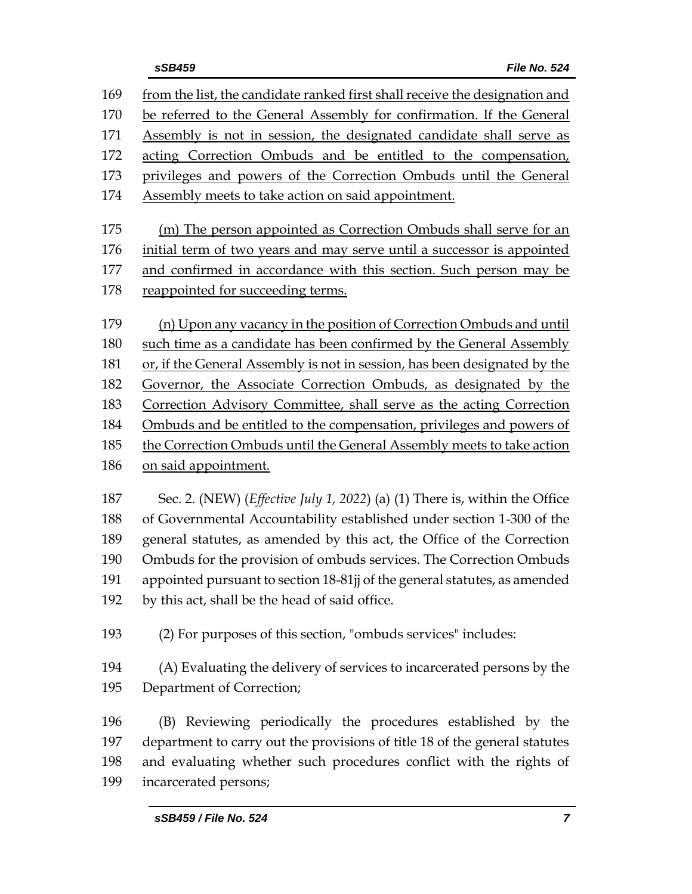| from the list, the candidate ranked first shall receive the designation and         |
|-------------------------------------------------------------------------------------|
| be referred to the General Assembly for confirmation. If the General                |
| Assembly is not in session, the designated candidate shall serve as                 |
| acting Correction Ombuds and be entitled to the compensation,                       |
| privileges and powers of the Correction Ombuds until the General                    |
| Assembly meets to take action on said appointment.                                  |
|                                                                                     |
| (m) The person appointed as Correction Ombuds shall serve for an                    |
| initial term of two years and may serve until a successor is appointed              |
| and confirmed in accordance with this section. Such person may be                   |
| reappointed for succeeding terms.                                                   |
| (n) Upon any vacancy in the position of Correction Ombuds and until                 |
| such time as a candidate has been confirmed by the General Assembly                 |
| or, if the General Assembly is not in session, has been designated by the           |
| Governor, the Associate Correction Ombuds, as designated by the                     |
| Correction Advisory Committee, shall serve as the acting Correction                 |
| Ombuds and be entitled to the compensation, privileges and powers of                |
| the Correction Ombuds until the General Assembly meets to take action               |
| on said appointment.                                                                |
|                                                                                     |
| Sec. 2. (NEW) ( <i>Effective July 1, 2022</i> ) (a) (1) There is, within the Office |
| of Governmental Accountability established under section 1-300 of the               |
| general statutes, as amended by this act, the Office of the Correction              |
| Ombuds for the provision of ombuds services. The Correction Ombuds                  |
| appointed pursuant to section 18-81jj of the general statutes, as amended           |
| by this act, shall be the head of said office.                                      |
|                                                                                     |
| (2) For purposes of this section, "ombuds services" includes:                       |
| (A) Evaluating the delivery of services to incarcerated persons by the              |
| Department of Correction;                                                           |
|                                                                                     |
| (B) Reviewing periodically the procedures established by the                        |
| department to carry out the provisions of title 18 of the general statutes          |
| and evaluating whether such procedures conflict with the rights of                  |
|                                                                                     |

incarcerated persons;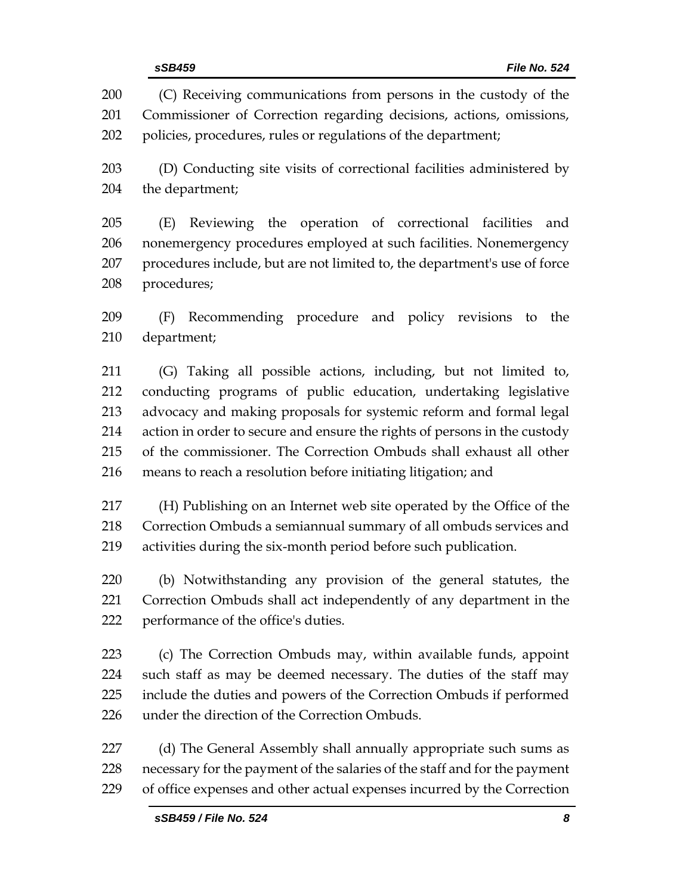(C) Receiving communications from persons in the custody of the Commissioner of Correction regarding decisions, actions, omissions, policies, procedures, rules or regulations of the department; (D) Conducting site visits of correctional facilities administered by the department; (E) Reviewing the operation of correctional facilities and nonemergency procedures employed at such facilities. Nonemergency procedures include, but are not limited to, the department's use of force procedures; (F) Recommending procedure and policy revisions to the department; (G) Taking all possible actions, including, but not limited to, conducting programs of public education, undertaking legislative advocacy and making proposals for systemic reform and formal legal action in order to secure and ensure the rights of persons in the custody of the commissioner. The Correction Ombuds shall exhaust all other means to reach a resolution before initiating litigation; and (H) Publishing on an Internet web site operated by the Office of the Correction Ombuds a semiannual summary of all ombuds services and activities during the six-month period before such publication. (b) Notwithstanding any provision of the general statutes, the Correction Ombuds shall act independently of any department in the performance of the office's duties. (c) The Correction Ombuds may, within available funds, appoint such staff as may be deemed necessary. The duties of the staff may include the duties and powers of the Correction Ombuds if performed under the direction of the Correction Ombuds. (d) The General Assembly shall annually appropriate such sums as necessary for the payment of the salaries of the staff and for the payment of office expenses and other actual expenses incurred by the Correction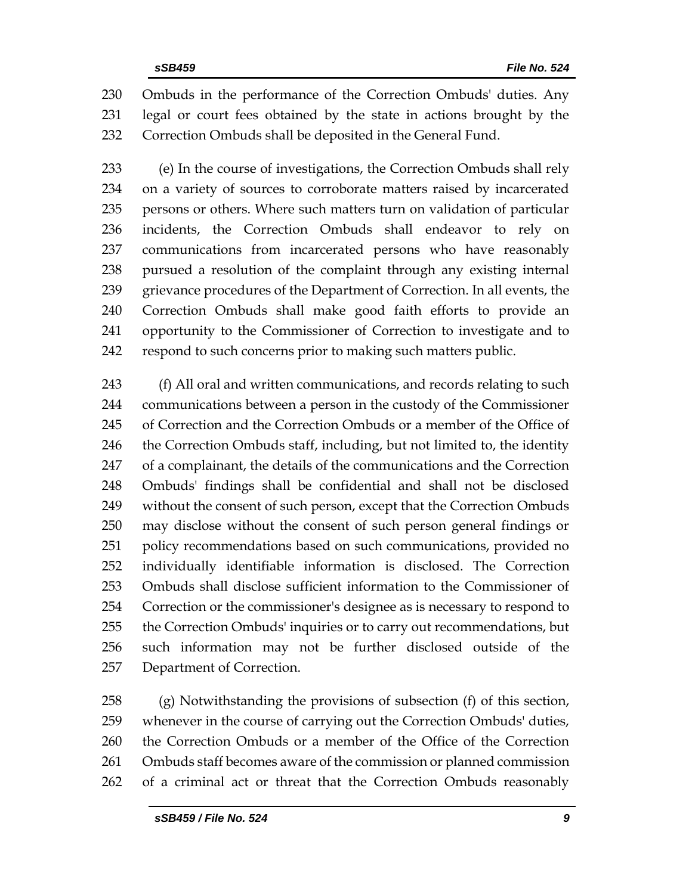Ombuds in the performance of the Correction Ombuds' duties. Any legal or court fees obtained by the state in actions brought by the Correction Ombuds shall be deposited in the General Fund.

 (e) In the course of investigations, the Correction Ombuds shall rely on a variety of sources to corroborate matters raised by incarcerated persons or others. Where such matters turn on validation of particular incidents, the Correction Ombuds shall endeavor to rely on communications from incarcerated persons who have reasonably pursued a resolution of the complaint through any existing internal 239 grievance procedures of the Department of Correction. In all events, the Correction Ombuds shall make good faith efforts to provide an opportunity to the Commissioner of Correction to investigate and to respond to such concerns prior to making such matters public.

243 (f) All oral and written communications, and records relating to such communications between a person in the custody of the Commissioner of Correction and the Correction Ombuds or a member of the Office of 246 the Correction Ombuds staff, including, but not limited to, the identity of a complainant, the details of the communications and the Correction Ombuds' findings shall be confidential and shall not be disclosed without the consent of such person, except that the Correction Ombuds may disclose without the consent of such person general findings or policy recommendations based on such communications, provided no individually identifiable information is disclosed. The Correction Ombuds shall disclose sufficient information to the Commissioner of Correction or the commissioner's designee as is necessary to respond to the Correction Ombuds' inquiries or to carry out recommendations, but such information may not be further disclosed outside of the Department of Correction.

 (g) Notwithstanding the provisions of subsection (f) of this section, whenever in the course of carrying out the Correction Ombuds' duties, the Correction Ombuds or a member of the Office of the Correction Ombuds staff becomes aware of the commission or planned commission of a criminal act or threat that the Correction Ombuds reasonably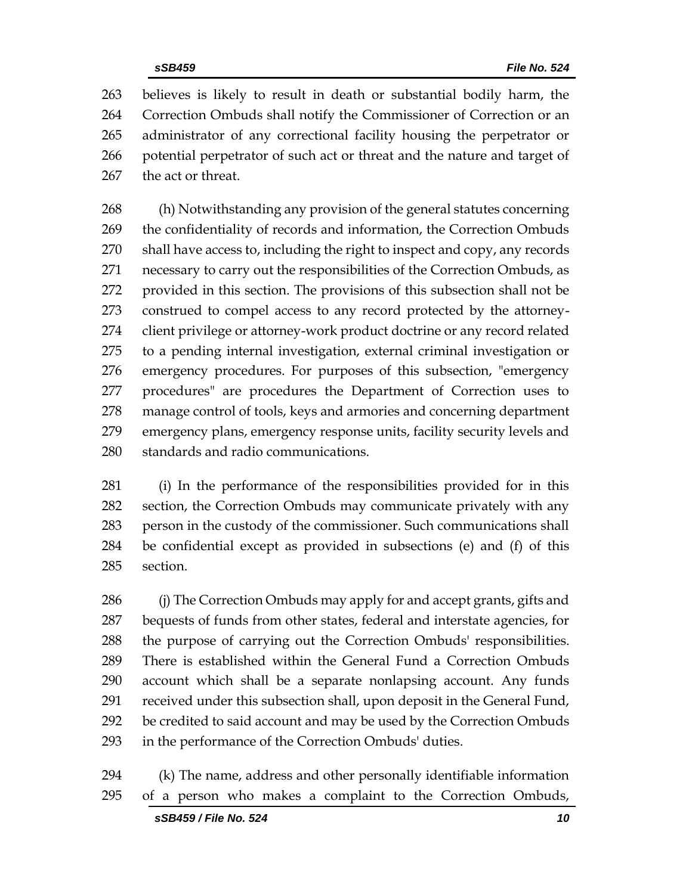believes is likely to result in death or substantial bodily harm, the Correction Ombuds shall notify the Commissioner of Correction or an administrator of any correctional facility housing the perpetrator or potential perpetrator of such act or threat and the nature and target of the act or threat.

 (h) Notwithstanding any provision of the general statutes concerning the confidentiality of records and information, the Correction Ombuds shall have access to, including the right to inspect and copy, any records necessary to carry out the responsibilities of the Correction Ombuds, as provided in this section. The provisions of this subsection shall not be construed to compel access to any record protected by the attorney- client privilege or attorney-work product doctrine or any record related to a pending internal investigation, external criminal investigation or emergency procedures. For purposes of this subsection, "emergency procedures" are procedures the Department of Correction uses to manage control of tools, keys and armories and concerning department emergency plans, emergency response units, facility security levels and standards and radio communications.

 (i) In the performance of the responsibilities provided for in this section, the Correction Ombuds may communicate privately with any person in the custody of the commissioner. Such communications shall be confidential except as provided in subsections (e) and (f) of this section.

286 (j) The Correction Ombuds may apply for and accept grants, gifts and bequests of funds from other states, federal and interstate agencies, for the purpose of carrying out the Correction Ombuds' responsibilities. There is established within the General Fund a Correction Ombuds account which shall be a separate nonlapsing account. Any funds received under this subsection shall, upon deposit in the General Fund, be credited to said account and may be used by the Correction Ombuds in the performance of the Correction Ombuds' duties.

 (k) The name, address and other personally identifiable information of a person who makes a complaint to the Correction Ombuds,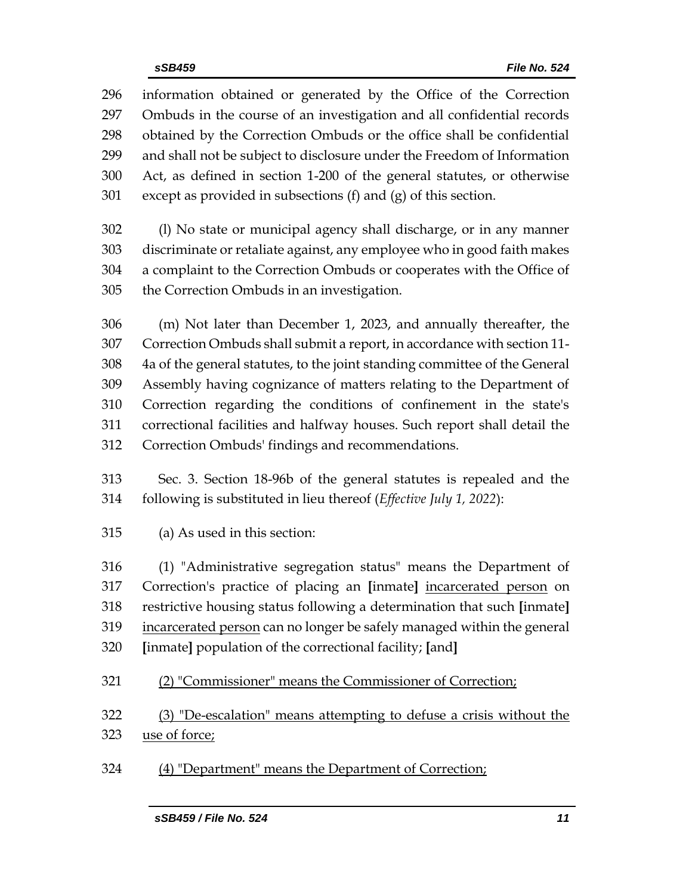information obtained or generated by the Office of the Correction Ombuds in the course of an investigation and all confidential records obtained by the Correction Ombuds or the office shall be confidential and shall not be subject to disclosure under the Freedom of Information Act, as defined in section 1-200 of the general statutes, or otherwise except as provided in subsections (f) and (g) of this section.

 (l) No state or municipal agency shall discharge, or in any manner discriminate or retaliate against, any employee who in good faith makes a complaint to the Correction Ombuds or cooperates with the Office of the Correction Ombuds in an investigation.

 (m) Not later than December 1, 2023, and annually thereafter, the Correction Ombuds shall submit a report, in accordance with section 11- 4a of the general statutes, to the joint standing committee of the General Assembly having cognizance of matters relating to the Department of Correction regarding the conditions of confinement in the state's correctional facilities and halfway houses. Such report shall detail the Correction Ombuds' findings and recommendations.

 Sec. 3. Section 18-96b of the general statutes is repealed and the following is substituted in lieu thereof (*Effective July 1, 2022*):

(a) As used in this section:

 (1) "Administrative segregation status" means the Department of Correction's practice of placing an **[**inmate**]** incarcerated person on restrictive housing status following a determination that such **[**inmate**]** incarcerated person can no longer be safely managed within the general **[**inmate**]** population of the correctional facility; **[**and**]**

(2) "Commissioner" means the Commissioner of Correction;

 (3) "De-escalation" means attempting to defuse a crisis without the use of force;

(4) "Department" means the Department of Correction;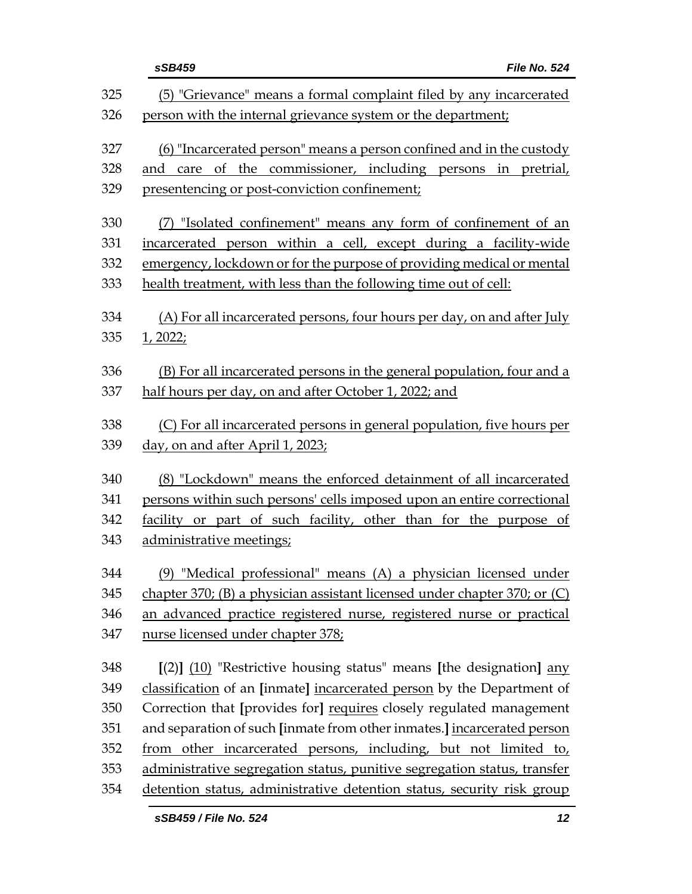|     | sSB459<br>File No. 524                                                    |
|-----|---------------------------------------------------------------------------|
| 325 | (5) "Grievance" means a formal complaint filed by any incarcerated        |
| 326 | person with the internal grievance system or the department;              |
| 327 | (6) "Incarcerated person" means a person confined and in the custody      |
| 328 | and care of the commissioner, including persons in pretrial,              |
| 329 | presentencing or post-conviction confinement;                             |
| 330 | "Isolated confinement" means any form of confinement of an                |
| 331 | incarcerated person within a cell, except during a facility-wide          |
| 332 | emergency, lockdown or for the purpose of providing medical or mental     |
| 333 | health treatment, with less than the following time out of cell:          |
| 334 | (A) For all incarcerated persons, four hours per day, on and after July   |
| 335 | 1, 2022;                                                                  |
| 336 | (B) For all incarcerated persons in the general population, four and a    |
| 337 | half hours per day, on and after October 1, 2022; and                     |
| 338 | (C) For all incarcerated persons in general population, five hours per    |
| 339 | day, on and after April 1, 2023;                                          |
| 340 | (8) "Lockdown" means the enforced detainment of all incarcerated          |
| 341 | persons within such persons' cells imposed upon an entire correctional    |
| 342 | facility or part of such facility, other than for the purpose of          |
| 343 | administrative meetings;                                                  |
| 344 | (9) "Medical professional" means (A) a physician licensed under           |
| 345 | chapter 370; (B) a physician assistant licensed under chapter 370; or (C) |
| 346 | an advanced practice registered nurse, registered nurse or practical      |
| 347 | nurse licensed under chapter 378;                                         |
| 348 | $[(2)]$ $(10)$ "Restrictive housing status" means [the designation] any   |
| 349 | classification of an [inmate] incarcerated person by the Department of    |
| 350 | Correction that [provides for] requires closely regulated management      |
| 351 | and separation of such [inmate from other inmates.] incarcerated person   |
| 352 | from other incarcerated persons, including, but not limited to,           |
| 353 | administrative segregation status, punitive segregation status, transfer  |
| 354 | detention status, administrative detention status, security risk group    |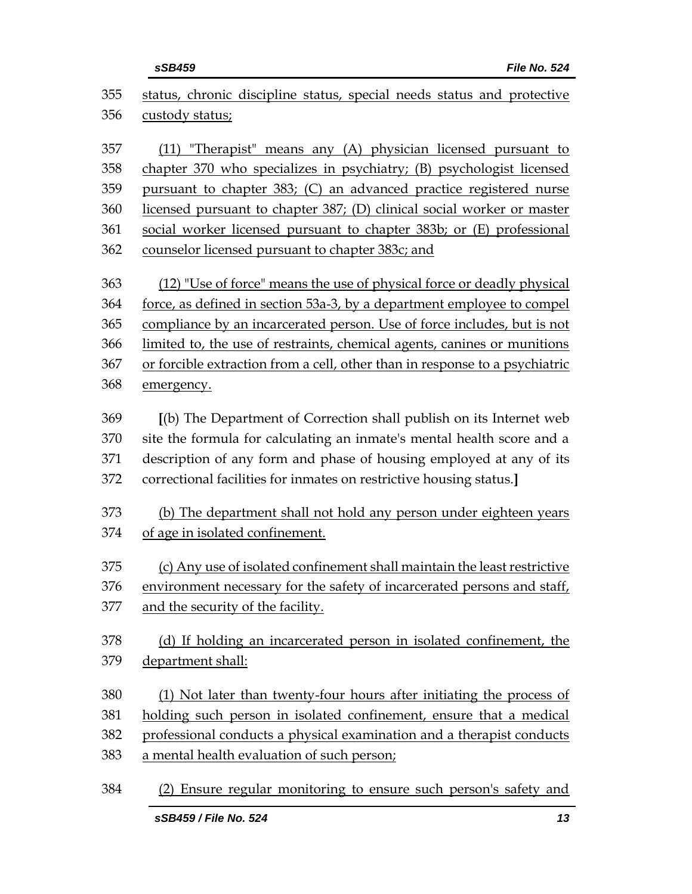|            | sSB459<br>File No. 524                                                                           |
|------------|--------------------------------------------------------------------------------------------------|
| 355<br>356 | status, chronic discipline status, special needs status and protective<br><u>custody status;</u> |
| 357        | (11) "Therapist" means any (A) physician licensed pursuant to                                    |
| 358        | chapter 370 who specializes in psychiatry; (B) psychologist licensed                             |
| 359        | pursuant to chapter 383; (C) an advanced practice registered nurse                               |
| 360        | licensed pursuant to chapter 387; (D) clinical social worker or master                           |
| 361        | social worker licensed pursuant to chapter 383b; or (E) professional                             |
| 362        | counselor licensed pursuant to chapter 383c; and                                                 |
| 363        | (12) "Use of force" means the use of physical force or deadly physical                           |
| 364        | force, as defined in section 53a-3, by a department employee to compel                           |
| 365        | compliance by an incarcerated person. Use of force includes, but is not                          |
| 366        | limited to, the use of restraints, chemical agents, canines or munitions                         |
| 367        | or forcible extraction from a cell, other than in response to a psychiatric                      |
| 368        | emergency.                                                                                       |
| 369        | [(b) The Department of Correction shall publish on its Internet web                              |
| 370        | site the formula for calculating an inmate's mental health score and a                           |
| 371        | description of any form and phase of housing employed at any of its                              |
| 372        | correctional facilities for inmates on restrictive housing status.]                              |
| 373        | (b) The department shall not hold any person under eighteen years                                |
| 374        | of age in isolated confinement.                                                                  |
| 375        | (c) Any use of isolated confinement shall maintain the least restrictive                         |
| 376        | environment necessary for the safety of incarcerated persons and staff,                          |
| 377        | and the security of the facility.                                                                |
| 378        | (d) If holding an incarcerated person in isolated confinement, the                               |
| 379        | department shall:                                                                                |
| 380        | (1) Not later than twenty-four hours after initiating the process of                             |
| 381        | holding such person in isolated confinement, ensure that a medical                               |
| 382        | professional conducts a physical examination and a therapist conducts                            |
| 383        | a mental health evaluation of such person;                                                       |

(2) Ensure regular monitoring to ensure such person's safety and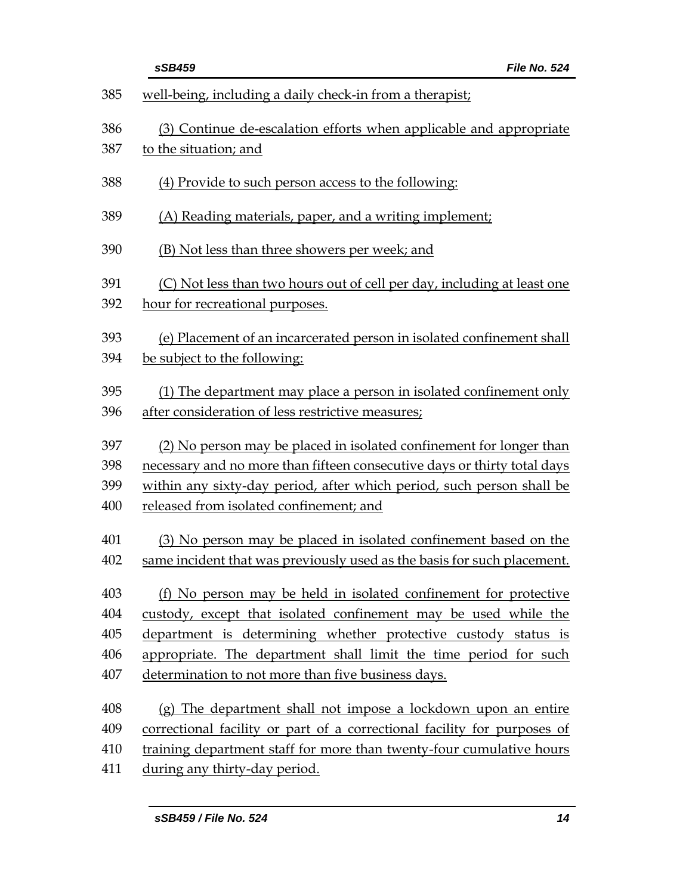|     | sSB459<br>File No. 524                                                   |
|-----|--------------------------------------------------------------------------|
| 385 | well-being, including a daily check-in from a therapist;                 |
| 386 | (3) Continue de-escalation efforts when applicable and appropriate       |
| 387 | to the situation; and                                                    |
| 388 | (4) Provide to such person access to the following:                      |
| 389 | (A) Reading materials, paper, and a writing implement;                   |
| 390 | (B) Not less than three showers per week; and                            |
| 391 | (C) Not less than two hours out of cell per day, including at least one  |
| 392 | hour for recreational purposes.                                          |
| 393 | (e) Placement of an incarcerated person in isolated confinement shall    |
| 394 | be subject to the following:                                             |
| 395 | (1) The department may place a person in isolated confinement only       |
| 396 | after consideration of less restrictive measures;                        |
| 397 | (2) No person may be placed in isolated confinement for longer than      |
| 398 | necessary and no more than fifteen consecutive days or thirty total days |
| 399 | within any sixty-day period, after which period, such person shall be    |
| 400 | released from isolated confinement; and                                  |
| 401 | (3) No person may be placed in isolated confinement based on the         |
| 402 | same incident that was previously used as the basis for such placement.  |
| 403 | (f) No person may be held in isolated confinement for protective         |
| 404 | custody, except that isolated confinement may be used while the          |
| 405 | department is determining whether protective custody status is           |
| 406 | appropriate. The department shall limit the time period for such         |
| 407 | determination to not more than five business days.                       |
| 408 | (g) The department shall not impose a lockdown upon an entire            |
| 409 | correctional facility or part of a correctional facility for purposes of |
| 410 | training department staff for more than twenty-four cumulative hours     |
| 411 | during any thirty-day period.                                            |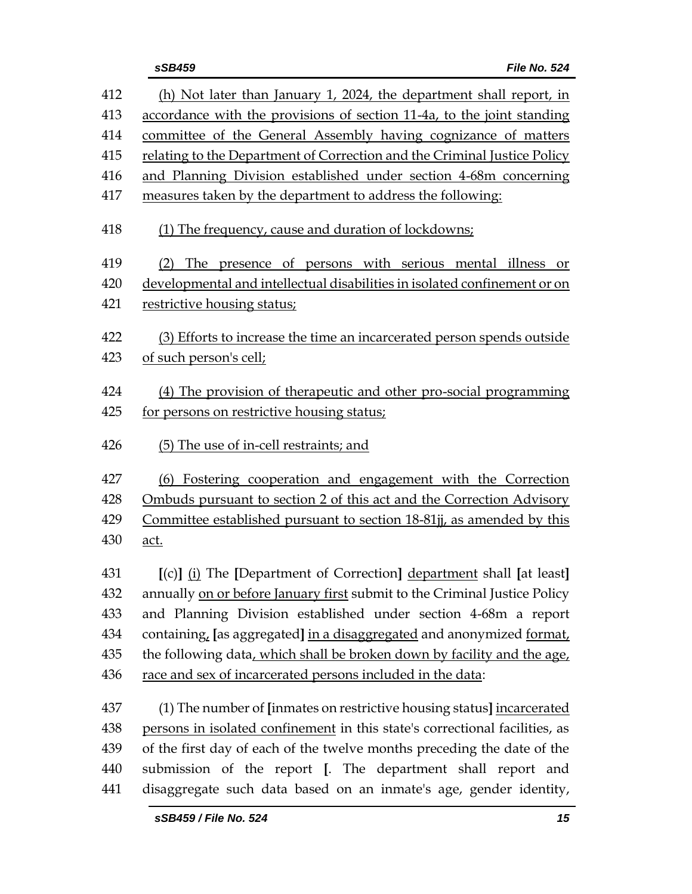| 412 | (h) Not later than January 1, 2024, the department shall report, in         |
|-----|-----------------------------------------------------------------------------|
| 413 | accordance with the provisions of section 11-4a, to the joint standing      |
| 414 | committee of the General Assembly having cognizance of matters              |
| 415 | relating to the Department of Correction and the Criminal Justice Policy    |
| 416 | and Planning Division established under section 4-68m concerning            |
| 417 | measures taken by the department to address the following:                  |
| 418 | (1) The frequency, cause and duration of lockdowns;                         |
| 419 | (2) The presence of persons with serious mental illness or                  |
| 420 | developmental and intellectual disabilities in isolated confinement or on   |
| 421 | restrictive housing status;                                                 |
| 422 | (3) Efforts to increase the time an incarcerated person spends outside      |
| 423 | of such person's cell;                                                      |
| 424 | (4) The provision of therapeutic and other pro-social programming           |
| 425 | for persons on restrictive housing status;                                  |
| 426 | (5) The use of in-cell restraints; and                                      |
| 427 | (6) Fostering cooperation and engagement with the Correction                |
| 428 | Ombuds pursuant to section 2 of this act and the Correction Advisory        |
| 429 | Committee established pursuant to section 18-81jj, as amended by this       |
| 430 | <u>act.</u>                                                                 |
| 431 | [(c)] (i) The [Department of Correction] department shall [at least]        |
| 432 | annually on or before January first submit to the Criminal Justice Policy   |
| 433 | and Planning Division established under section 4-68m a report              |
| 434 | containing, [as aggregated] in a disaggregated and anonymized format,       |
| 435 | the following data, which shall be broken down by facility and the age,     |
| 436 | race and sex of incarcerated persons included in the data:                  |
| 437 | (1) The number of [inmates on restrictive housing status] incarcerated      |
| 438 | persons in isolated confinement in this state's correctional facilities, as |
| 439 | of the first day of each of the twelve months preceding the date of the     |
| 440 | submission of the report [. The department shall report and                 |
| 441 | disaggregate such data based on an inmate's age, gender identity,           |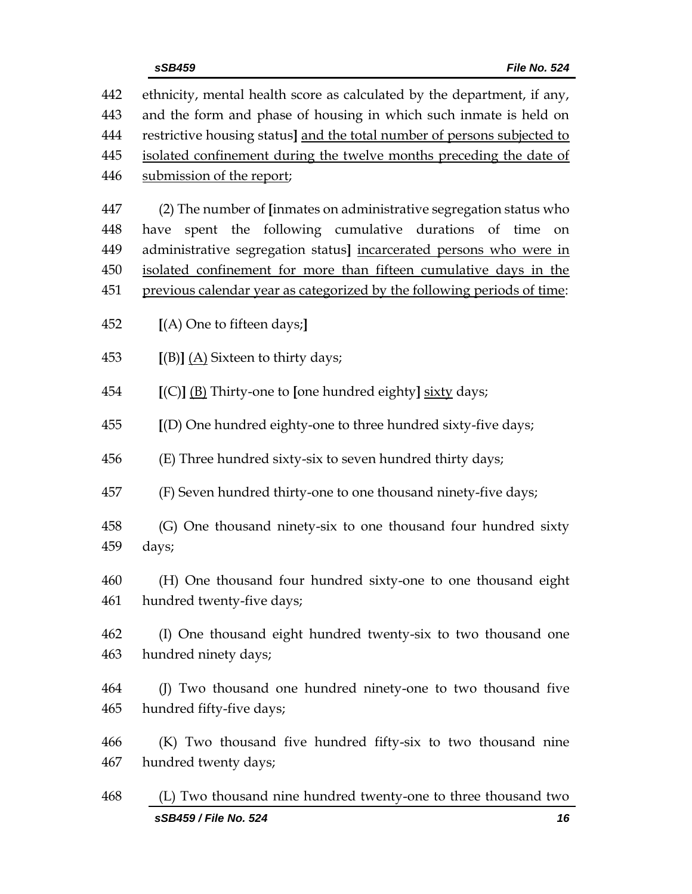|            | sSB459 / File No. 524<br>16                                                                                                                  |
|------------|----------------------------------------------------------------------------------------------------------------------------------------------|
| 468        | (L) Two thousand nine hundred twenty-one to three thousand two                                                                               |
| 467        | hundred twenty days;                                                                                                                         |
| 466        | (K) Two thousand five hundred fifty-six to two thousand nine                                                                                 |
| 465        | hundred fifty-five days;                                                                                                                     |
| 464        | (J) Two thousand one hundred ninety-one to two thousand five                                                                                 |
| 463        | hundred ninety days;                                                                                                                         |
| 462        | (I) One thousand eight hundred twenty-six to two thousand one                                                                                |
| 460<br>461 | (H) One thousand four hundred sixty-one to one thousand eight<br>hundred twenty-five days;                                                   |
|            |                                                                                                                                              |
| 458<br>459 | (G) One thousand ninety-six to one thousand four hundred sixty<br>days;                                                                      |
| 457        | (F) Seven hundred thirty-one to one thousand ninety-five days;                                                                               |
|            |                                                                                                                                              |
| 456        | (E) Three hundred sixty-six to seven hundred thirty days;                                                                                    |
| 455        | [(D) One hundred eighty-one to three hundred sixty-five days;                                                                                |
| 454        | [(C)] (B) Thirty-one to [one hundred eighty] sixty days;                                                                                     |
| 453        | $[(B)] (A)$ Sixteen to thirty days;                                                                                                          |
| 452        | [(A) One to fifteen days;]                                                                                                                   |
|            |                                                                                                                                              |
| 450<br>451 | isolated confinement for more than fifteen cumulative days in the<br>previous calendar year as categorized by the following periods of time: |
| 449        | administrative segregation status] incarcerated persons who were in                                                                          |
| 448        | spent the following cumulative durations of time<br>have<br>on                                                                               |
| 447        | (2) The number of [inmates on administrative segregation status who                                                                          |
| 446        | submission of the report;                                                                                                                    |
| 445        | isolated confinement during the twelve months preceding the date of                                                                          |
| 444        | restrictive housing status] and the total number of persons subjected to                                                                     |
| 443        | and the form and phase of housing in which such inmate is held on                                                                            |
| 442        | ethnicity, mental health score as calculated by the department, if any,                                                                      |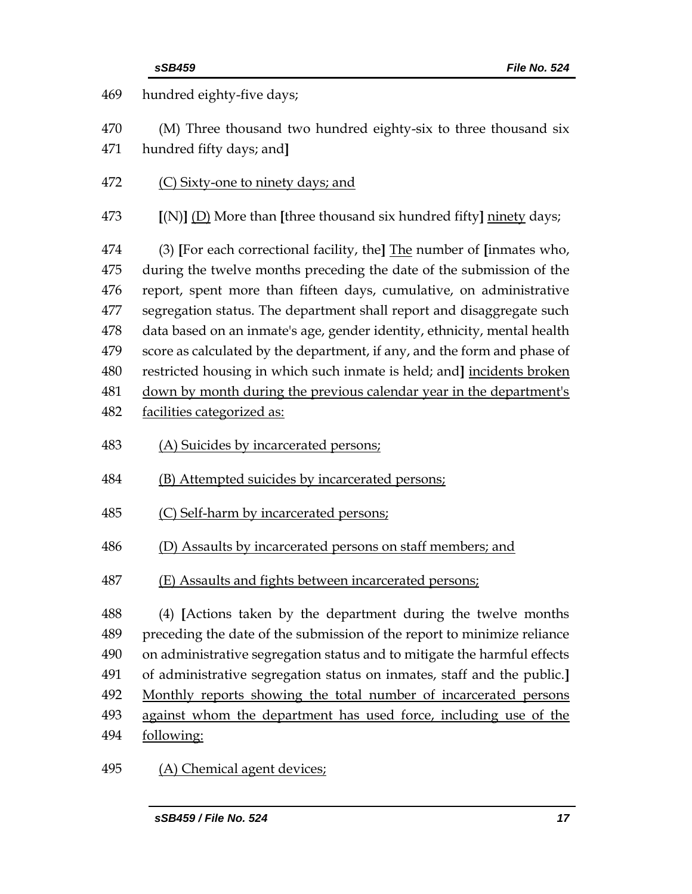|                                                             | sSB459<br>File No. 524                                                                                                                                                                                                                                                                                                                                                                                                                                                                                                                                                                                                                 |
|-------------------------------------------------------------|----------------------------------------------------------------------------------------------------------------------------------------------------------------------------------------------------------------------------------------------------------------------------------------------------------------------------------------------------------------------------------------------------------------------------------------------------------------------------------------------------------------------------------------------------------------------------------------------------------------------------------------|
| 469                                                         | hundred eighty-five days;                                                                                                                                                                                                                                                                                                                                                                                                                                                                                                                                                                                                              |
| 470<br>471                                                  | (M) Three thousand two hundred eighty-six to three thousand six<br>hundred fifty days; and]                                                                                                                                                                                                                                                                                                                                                                                                                                                                                                                                            |
| 472                                                         | (C) Sixty-one to ninety days; and                                                                                                                                                                                                                                                                                                                                                                                                                                                                                                                                                                                                      |
| 473                                                         | $[(N)]$ (D) More than [three thousand six hundred fifty] ninety days;                                                                                                                                                                                                                                                                                                                                                                                                                                                                                                                                                                  |
| 474<br>475<br>476<br>477<br>478<br>479<br>480<br>481<br>482 | (3) [For each correctional facility, the] $The number of$ [inmates who,<br>during the twelve months preceding the date of the submission of the<br>report, spent more than fifteen days, cumulative, on administrative<br>segregation status. The department shall report and disaggregate such<br>data based on an inmate's age, gender identity, ethnicity, mental health<br>score as calculated by the department, if any, and the form and phase of<br>restricted housing in which such inmate is held; and] incidents broken<br>down by month during the previous calendar year in the department's<br>facilities categorized as: |
| 483                                                         | (A) Suicides by incarcerated persons;                                                                                                                                                                                                                                                                                                                                                                                                                                                                                                                                                                                                  |
| 484                                                         | (B) Attempted suicides by incarcerated persons;                                                                                                                                                                                                                                                                                                                                                                                                                                                                                                                                                                                        |
| 485                                                         | (C) Self-harm by incarcerated persons;                                                                                                                                                                                                                                                                                                                                                                                                                                                                                                                                                                                                 |
| 486                                                         | (D) Assaults by incarcerated persons on staff members; and                                                                                                                                                                                                                                                                                                                                                                                                                                                                                                                                                                             |
| 487                                                         | (E) Assaults and fights between incarcerated persons;                                                                                                                                                                                                                                                                                                                                                                                                                                                                                                                                                                                  |
| 488<br>489<br>490<br>491<br>492<br>493<br>494               | (4) [Actions taken by the department during the twelve months<br>preceding the date of the submission of the report to minimize reliance<br>on administrative segregation status and to mitigate the harmful effects<br>of administrative segregation status on inmates, staff and the public.]<br>Monthly reports showing the total number of incarcerated persons<br>against whom the department has used force, including use of the<br>following:                                                                                                                                                                                  |
| 495                                                         | (A) Chemical agent devices;                                                                                                                                                                                                                                                                                                                                                                                                                                                                                                                                                                                                            |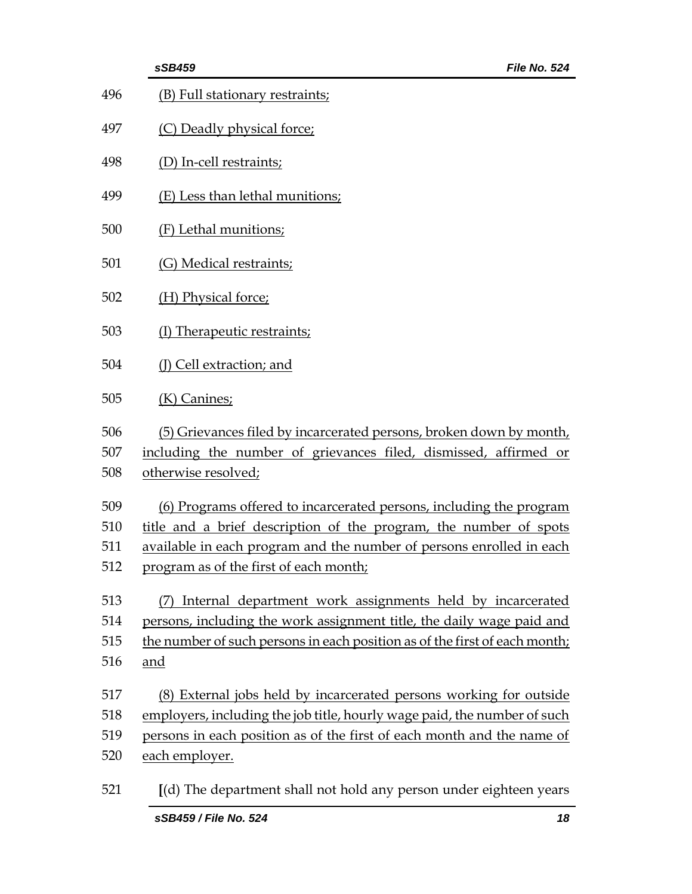|                          | sSB459<br>File No. 524                                                                                                                                                                                                                                     |
|--------------------------|------------------------------------------------------------------------------------------------------------------------------------------------------------------------------------------------------------------------------------------------------------|
| 496                      | (B) Full stationary restraints;                                                                                                                                                                                                                            |
| 497                      | (C) Deadly physical force;                                                                                                                                                                                                                                 |
| 498                      | (D) In-cell restraints;                                                                                                                                                                                                                                    |
| 499                      | (E) Less than lethal munitions;                                                                                                                                                                                                                            |
| 500                      | (F) Lethal munitions;                                                                                                                                                                                                                                      |
| 501                      | (G) Medical restraints;                                                                                                                                                                                                                                    |
| 502                      | (H) Physical force;                                                                                                                                                                                                                                        |
| 503                      | (I) Therapeutic restraints;                                                                                                                                                                                                                                |
| 504                      | (J) Cell extraction; and                                                                                                                                                                                                                                   |
| 505                      | $(K)$ Canines;                                                                                                                                                                                                                                             |
| 506<br>507<br>508        | (5) Grievances filed by incarcerated persons, broken down by month,<br>including the number of grievances filed, dismissed, affirmed or<br>otherwise resolved;                                                                                             |
| 509<br>510<br>511<br>512 | (6) Programs offered to incarcerated persons, including the program<br>title and a brief description of the program, the number of spots<br>available in each program and the number of persons enrolled in each<br>program as of the first of each month; |
| 513<br>514<br>515<br>516 | Internal department work assignments held by incarcerated<br>(7)<br>persons, including the work assignment title, the daily wage paid and<br>the number of such persons in each position as of the first of each month;<br><u>and</u>                      |
| 517<br>518<br>519<br>520 | (8) External jobs held by incarcerated persons working for outside<br>employers, including the job title, hourly wage paid, the number of such<br>persons in each position as of the first of each month and the name of<br>each employer.                 |
| 521                      | [(d) The department shall not hold any person under eighteen years                                                                                                                                                                                         |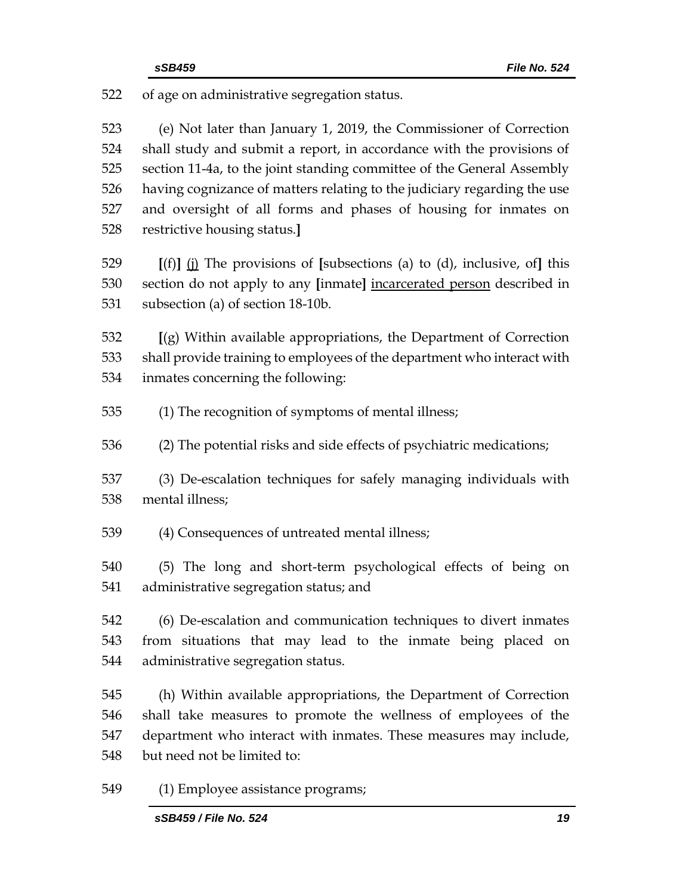of age on administrative segregation status.

 (e) Not later than January 1, 2019, the Commissioner of Correction shall study and submit a report, in accordance with the provisions of section 11-4a, to the joint standing committee of the General Assembly having cognizance of matters relating to the judiciary regarding the use and oversight of all forms and phases of housing for inmates on restrictive housing status.**]**

 **[**(f)**]** (j) The provisions of **[**subsections (a) to (d), inclusive, of**]** this section do not apply to any **[**inmate**]** incarcerated person described in subsection (a) of section 18-10b.

 **[**(g) Within available appropriations, the Department of Correction shall provide training to employees of the department who interact with inmates concerning the following:

- (1) The recognition of symptoms of mental illness;
- (2) The potential risks and side effects of psychiatric medications;

 (3) De-escalation techniques for safely managing individuals with mental illness;

(4) Consequences of untreated mental illness;

 (5) The long and short-term psychological effects of being on administrative segregation status; and

 (6) De-escalation and communication techniques to divert inmates from situations that may lead to the inmate being placed on administrative segregation status.

 (h) Within available appropriations, the Department of Correction shall take measures to promote the wellness of employees of the department who interact with inmates. These measures may include, but need not be limited to:

(1) Employee assistance programs;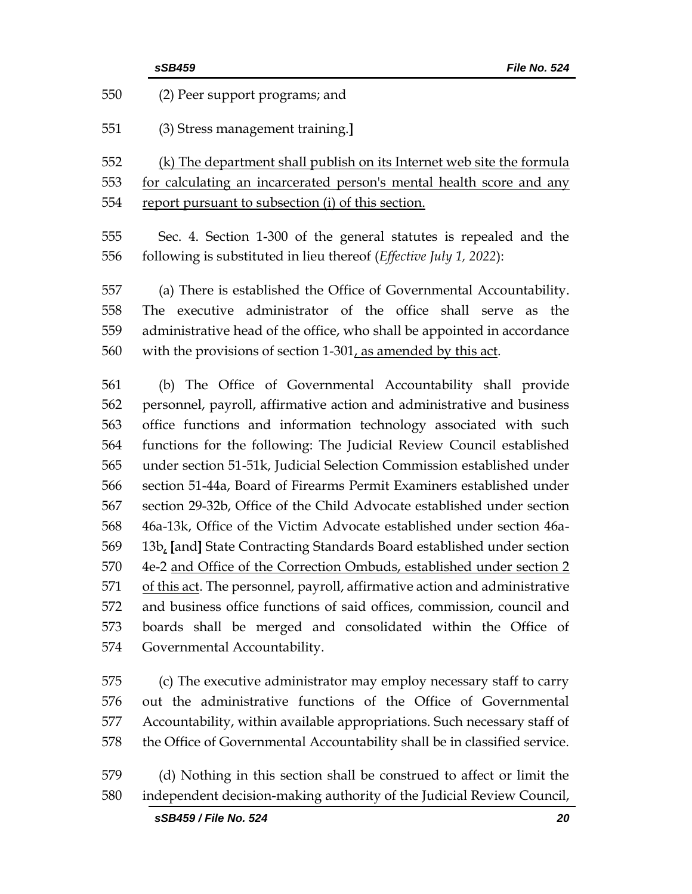|     | sSB459<br>File No. 524                                                      |
|-----|-----------------------------------------------------------------------------|
| 550 | (2) Peer support programs; and                                              |
| 551 | (3) Stress management training.]                                            |
| 552 | (k) The department shall publish on its Internet web site the formula       |
| 553 | for calculating an incarcerated person's mental health score and any        |
| 554 | report pursuant to subsection (i) of this section.                          |
| 555 | Sec. 4. Section 1-300 of the general statutes is repealed and the           |
| 556 | following is substituted in lieu thereof ( <i>Effective July 1, 2022</i> ): |
| 557 | (a) There is established the Office of Governmental Accountability.         |
| 558 | The executive administrator of the office shall serve<br>the<br>as          |
| 559 | administrative head of the office, who shall be appointed in accordance     |
| 560 | with the provisions of section 1-301, as amended by this act.               |
| 561 | (b) The Office of Governmental Accountability shall provide                 |
| 562 | personnel, payroll, affirmative action and administrative and business      |
| 563 | office functions and information technology associated with such            |
| 564 | functions for the following: The Judicial Review Council established        |
| 565 | under section 51-51k, Judicial Selection Commission established under       |
| 566 | section 51-44a, Board of Firearms Permit Examiners established under        |
| 567 | section 29-32b, Office of the Child Advocate established under section      |
| 568 | 46a-13k, Office of the Victim Advocate established under section 46a-       |
| 569 | 13b, [and] State Contracting Standards Board established under section      |
| 570 | 4e-2 and Office of the Correction Ombuds, established under section 2       |
| 571 | of this act. The personnel, payroll, affirmative action and administrative  |
| 572 | and business office functions of said offices, commission, council and      |
| 573 | boards shall be merged and consolidated within the Office of                |
| 574 | Governmental Accountability.                                                |
| 575 | (c) The executive administrator may employ necessary staff to carry         |
| 576 | out the administrative functions of the Office of Governmental              |
| 577 | Accountability, within available appropriations. Such necessary staff of    |
| 578 | the Office of Governmental Accountability shall be in classified service.   |
| 579 | (d) Nothing in this section shall be construed to affect or limit the       |

independent decision-making authority of the Judicial Review Council,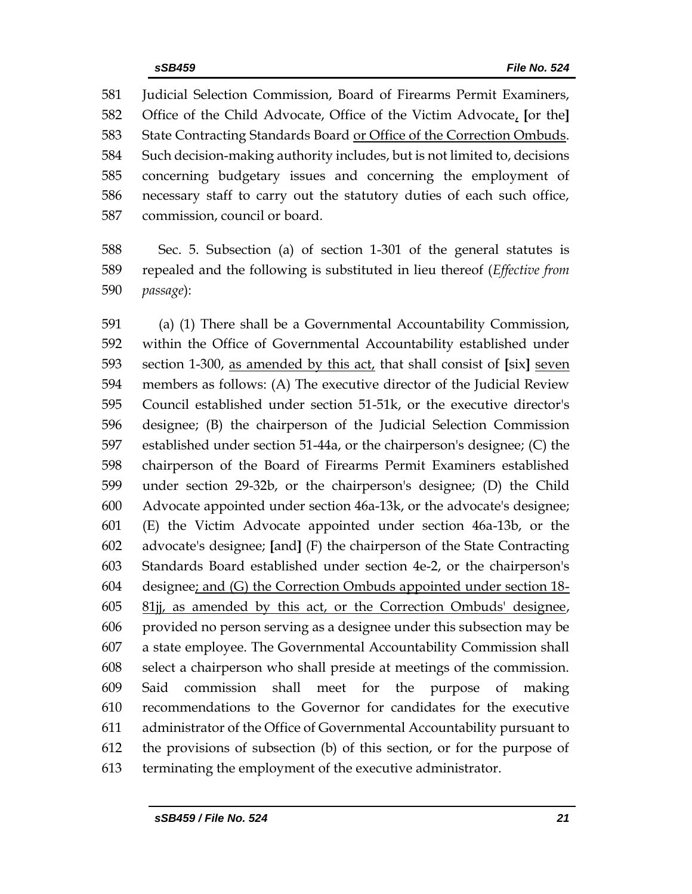Judicial Selection Commission, Board of Firearms Permit Examiners, Office of the Child Advocate, Office of the Victim Advocate, **[**or the**]** State Contracting Standards Board or Office of the Correction Ombuds. Such decision-making authority includes, but is not limited to, decisions concerning budgetary issues and concerning the employment of necessary staff to carry out the statutory duties of each such office, commission, council or board.

 Sec. 5. Subsection (a) of section 1-301 of the general statutes is repealed and the following is substituted in lieu thereof (*Effective from passage*):

 (a) (1) There shall be a Governmental Accountability Commission, within the Office of Governmental Accountability established under section 1-300, as amended by this act, that shall consist of **[**six**]** seven members as follows: (A) The executive director of the Judicial Review Council established under section 51-51k, or the executive director's designee; (B) the chairperson of the Judicial Selection Commission established under section 51-44a, or the chairperson's designee; (C) the chairperson of the Board of Firearms Permit Examiners established under section 29-32b, or the chairperson's designee; (D) the Child Advocate appointed under section 46a-13k, or the advocate's designee; (E) the Victim Advocate appointed under section 46a-13b, or the advocate's designee; **[**and**]** (F) the chairperson of the State Contracting Standards Board established under section 4e-2, or the chairperson's designee; and (G) the Correction Ombuds appointed under section 18- 81jj, as amended by this act, or the Correction Ombuds' designee, provided no person serving as a designee under this subsection may be a state employee. The Governmental Accountability Commission shall select a chairperson who shall preside at meetings of the commission. Said commission shall meet for the purpose of making recommendations to the Governor for candidates for the executive administrator of the Office of Governmental Accountability pursuant to the provisions of subsection (b) of this section, or for the purpose of terminating the employment of the executive administrator.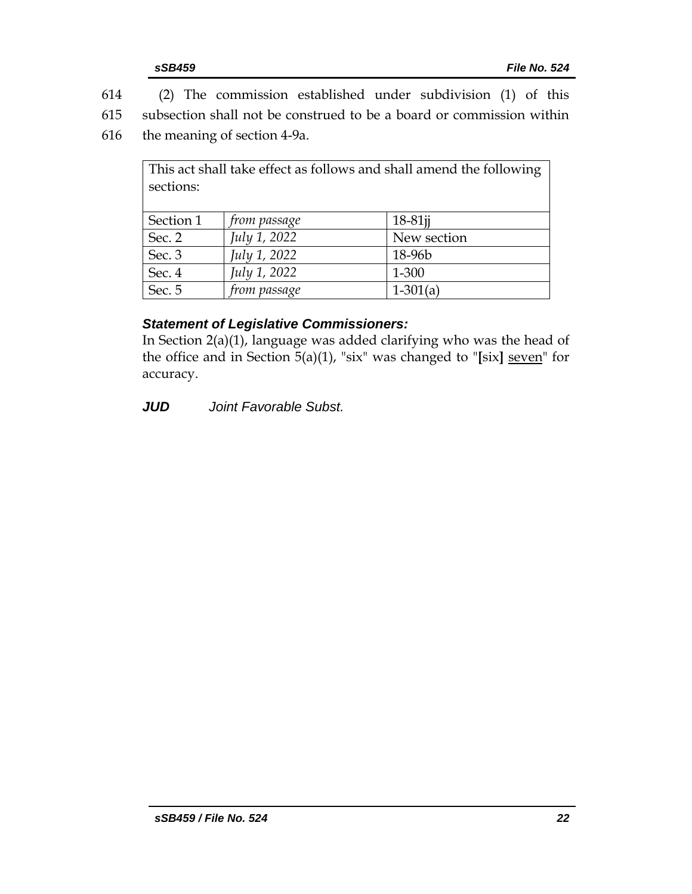614 (2) The commission established under subdivision (1) of this

615 subsection shall not be construed to be a board or commission within

616 the meaning of section 4-9a.

| This act shall take effect as follows and shall amend the following |              |             |  |
|---------------------------------------------------------------------|--------------|-------------|--|
| sections:                                                           |              |             |  |
|                                                                     |              |             |  |
| Section 1                                                           | from passage | $18-81$ jj  |  |
| Sec. 2                                                              | July 1, 2022 | New section |  |
| Sec. 3                                                              | July 1, 2022 | 18-96b      |  |
| Sec. 4                                                              | July 1, 2022 | 1-300       |  |
| Sec. 5                                                              | from passage | $1-301(a)$  |  |

## *Statement of Legislative Commissioners:*

In Section 2(a)(1), language was added clarifying who was the head of the office and in Section 5(a)(1), "six" was changed to "**[**six**]** seven" for accuracy.

*JUD Joint Favorable Subst.*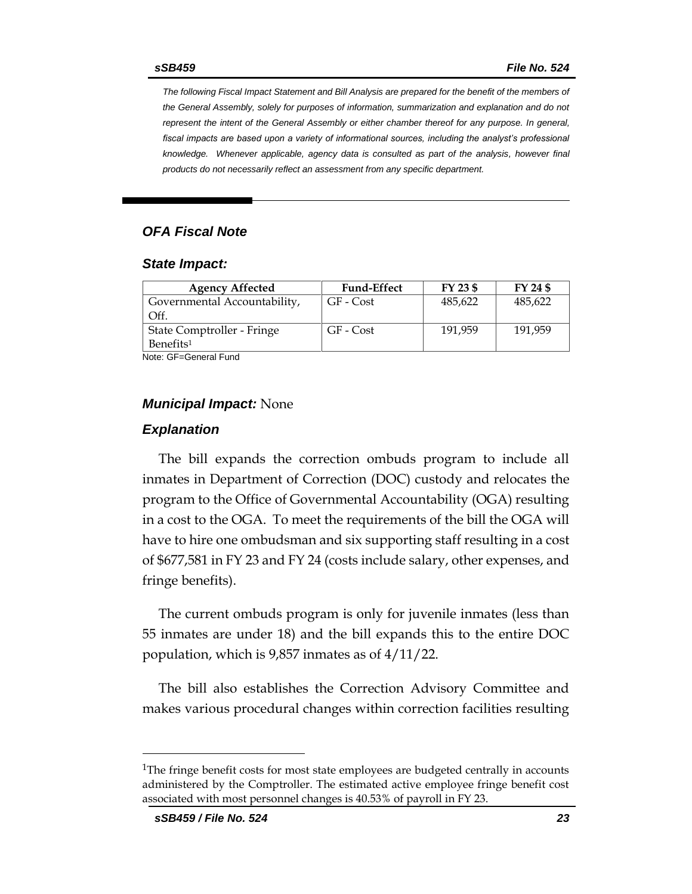*The following Fiscal Impact Statement and Bill Analysis are prepared for the benefit of the members of the General Assembly, solely for purposes of information, summarization and explanation and do not represent the intent of the General Assembly or either chamber thereof for any purpose. In general,*  fiscal impacts are based upon a variety of informational sources, including the analyst's professional *knowledge. Whenever applicable, agency data is consulted as part of the analysis, however final products do not necessarily reflect an assessment from any specific department.*

#### *OFA Fiscal Note*

#### *State Impact:*

| <b>Agency Affected</b>       | <b>Fund-Effect</b> | FY 23 \$ | FY 24 \$ |
|------------------------------|--------------------|----------|----------|
| Governmental Accountability, | GF - Cost          | 485,622  | 485,622  |
| Off.                         |                    |          |          |
| State Comptroller - Fringe   | GF - Cost          | 191,959  | 191,959  |
| Benefits <sup>1</sup>        |                    |          |          |

Note: GF=General Fund

#### *Municipal Impact:* None

#### *Explanation*

The bill expands the correction ombuds program to include all inmates in Department of Correction (DOC) custody and relocates the program to the Office of Governmental Accountability (OGA) resulting in a cost to the OGA. To meet the requirements of the bill the OGA will have to hire one ombudsman and six supporting staff resulting in a cost of \$677,581 in FY 23 and FY 24 (costs include salary, other expenses, and fringe benefits).

The current ombuds program is only for juvenile inmates (less than 55 inmates are under 18) and the bill expands this to the entire DOC population, which is 9,857 inmates as of 4/11/22.

The bill also establishes the Correction Advisory Committee and makes various procedural changes within correction facilities resulting

<sup>&</sup>lt;sup>1</sup>The fringe benefit costs for most state employees are budgeted centrally in accounts administered by the Comptroller. The estimated active employee fringe benefit cost associated with most personnel changes is 40.53% of payroll in FY 23.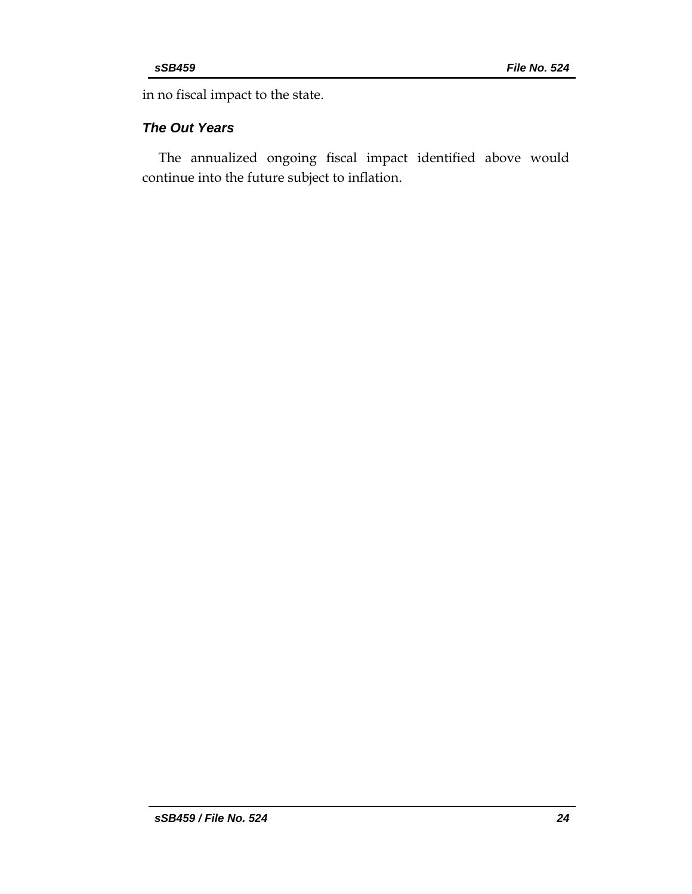in no fiscal impact to the state.

## *The Out Years*

The annualized ongoing fiscal impact identified above would continue into the future subject to inflation.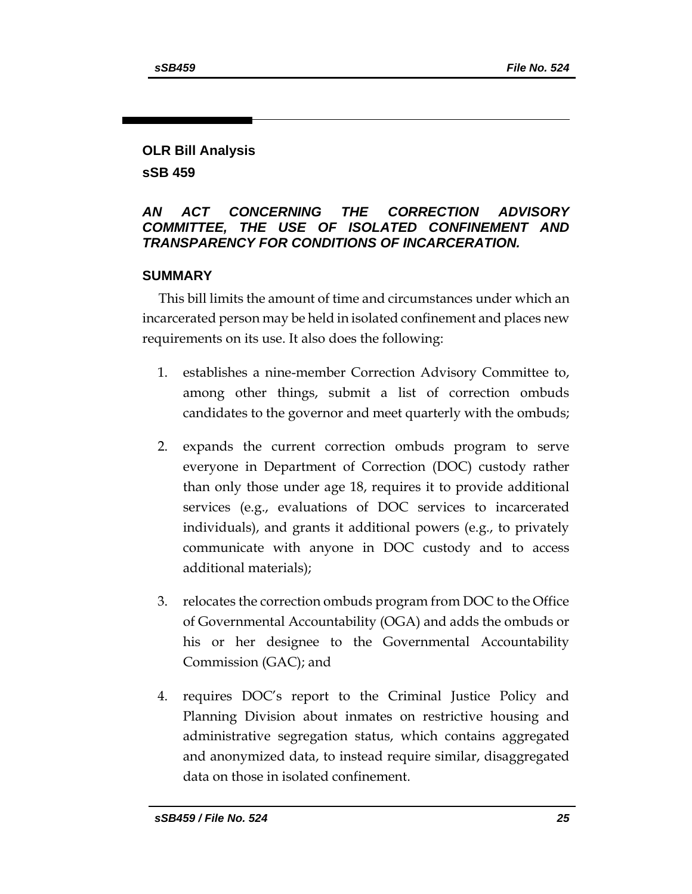## **OLR Bill Analysis sSB 459**

## *AN ACT CONCERNING THE CORRECTION ADVISORY COMMITTEE, THE USE OF ISOLATED CONFINEMENT AND TRANSPARENCY FOR CONDITIONS OF INCARCERATION.*

## **SUMMARY**

This bill limits the amount of time and circumstances under which an incarcerated person may be held in isolated confinement and places new requirements on its use. It also does the following:

- 1. establishes a nine-member Correction Advisory Committee to, among other things, submit a list of correction ombuds candidates to the governor and meet quarterly with the ombuds;
- 2. expands the current correction ombuds program to serve everyone in Department of Correction (DOC) custody rather than only those under age 18, requires it to provide additional services (e.g., evaluations of DOC services to incarcerated individuals), and grants it additional powers (e.g., to privately communicate with anyone in DOC custody and to access additional materials);
- 3. relocates the correction ombuds program from DOC to the Office of Governmental Accountability (OGA) and adds the ombuds or his or her designee to the Governmental Accountability Commission (GAC); and
- 4. requires DOC's report to the Criminal Justice Policy and Planning Division about inmates on restrictive housing and administrative segregation status, which contains aggregated and anonymized data, to instead require similar, disaggregated data on those in isolated confinement.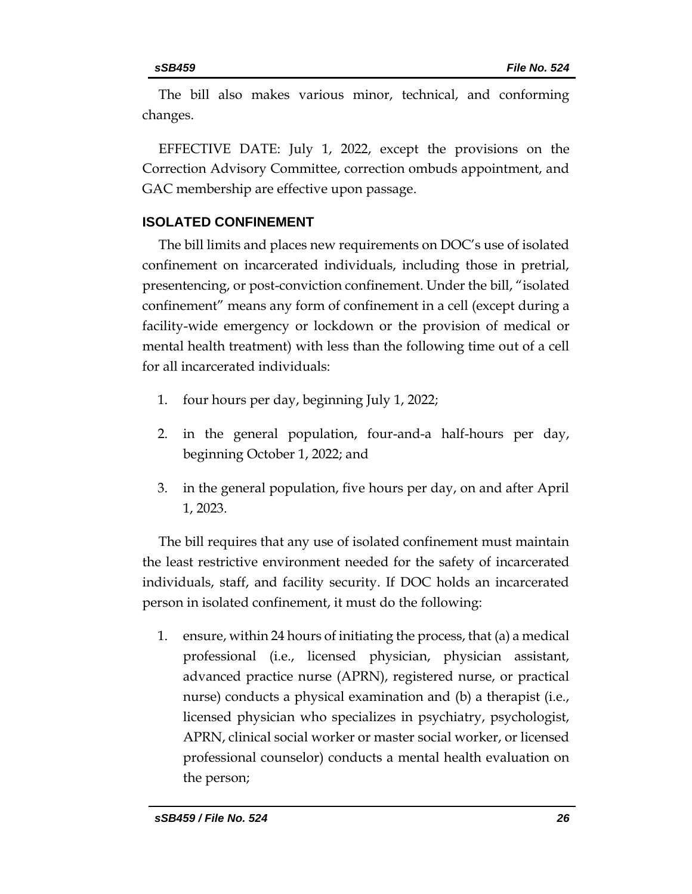The bill also makes various minor, technical, and conforming changes.

EFFECTIVE DATE: July 1, 2022, except the provisions on the Correction Advisory Committee, correction ombuds appointment, and GAC membership are effective upon passage.

## **ISOLATED CONFINEMENT**

The bill limits and places new requirements on DOC's use of isolated confinement on incarcerated individuals, including those in pretrial, presentencing, or post-conviction confinement. Under the bill, "isolated confinement" means any form of confinement in a cell (except during a facility-wide emergency or lockdown or the provision of medical or mental health treatment) with less than the following time out of a cell for all incarcerated individuals:

- 1. four hours per day, beginning July 1, 2022;
- 2. in the general population, four-and-a half-hours per day, beginning October 1, 2022; and
- 3. in the general population, five hours per day, on and after April 1, 2023.

The bill requires that any use of isolated confinement must maintain the least restrictive environment needed for the safety of incarcerated individuals, staff, and facility security. If DOC holds an incarcerated person in isolated confinement, it must do the following:

1. ensure, within 24 hours of initiating the process, that (a) a medical professional (i.e., licensed physician, physician assistant, advanced practice nurse (APRN), registered nurse, or practical nurse) conducts a physical examination and (b) a therapist (i.e., licensed physician who specializes in psychiatry, psychologist, APRN, clinical social worker or master social worker, or licensed professional counselor) conducts a mental health evaluation on the person;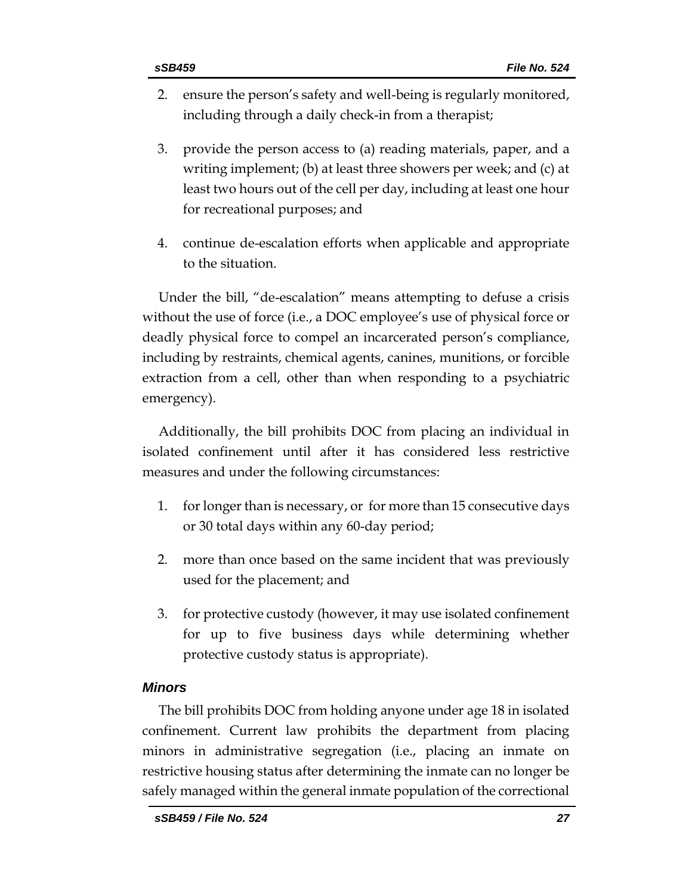- 2. ensure the person's safety and well-being is regularly monitored, including through a daily check-in from a therapist;
- 3. provide the person access to (a) reading materials, paper, and a writing implement; (b) at least three showers per week; and (c) at least two hours out of the cell per day, including at least one hour for recreational purposes; and
- 4. continue de-escalation efforts when applicable and appropriate to the situation.

Under the bill, "de-escalation" means attempting to defuse a crisis without the use of force (i.e., a DOC employee's use of physical force or deadly physical force to compel an incarcerated person's compliance, including by restraints, chemical agents, canines, munitions, or forcible extraction from a cell, other than when responding to a psychiatric emergency).

Additionally, the bill prohibits DOC from placing an individual in isolated confinement until after it has considered less restrictive measures and under the following circumstances:

- 1. for longer than is necessary, or for more than 15 consecutive days or 30 total days within any 60-day period;
- 2. more than once based on the same incident that was previously used for the placement; and
- 3. for protective custody (however, it may use isolated confinement for up to five business days while determining whether protective custody status is appropriate).

## *Minors*

The bill prohibits DOC from holding anyone under age 18 in isolated confinement. Current law prohibits the department from placing minors in administrative segregation (i.e., placing an inmate on restrictive housing status after determining the inmate can no longer be safely managed within the general inmate population of the correctional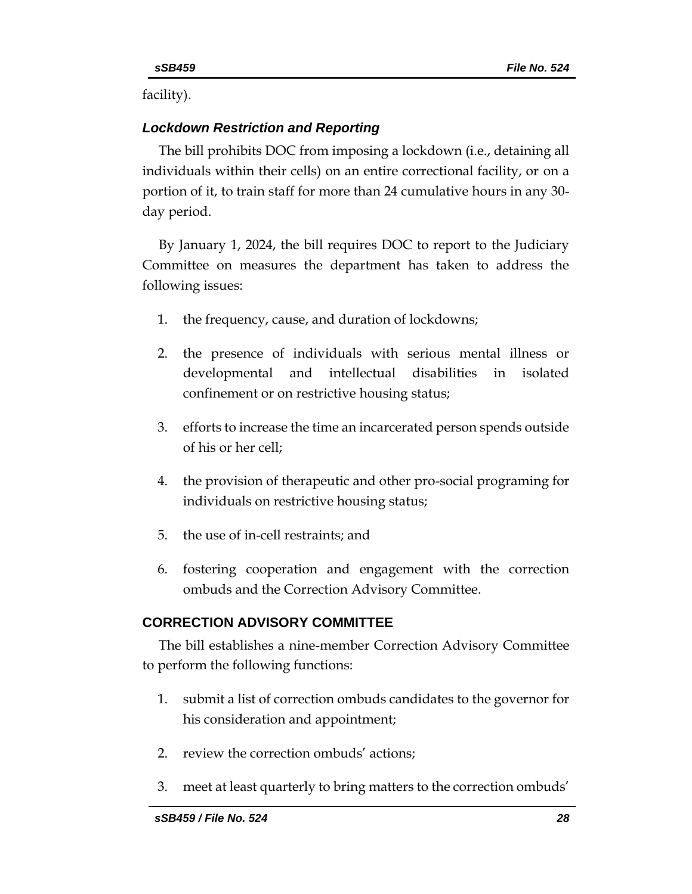facility).

## *Lockdown Restriction and Reporting*

The bill prohibits DOC from imposing a lockdown (i.e., detaining all individuals within their cells) on an entire correctional facility, or on a portion of it, to train staff for more than 24 cumulative hours in any 30 day period.

By January 1, 2024, the bill requires DOC to report to the Judiciary Committee on measures the department has taken to address the following issues:

- 1. the frequency, cause, and duration of lockdowns;
- 2. the presence of individuals with serious mental illness or developmental and intellectual disabilities in isolated confinement or on restrictive housing status;
- 3. efforts to increase the time an incarcerated person spends outside of his or her cell;
- 4. the provision of therapeutic and other pro-social programing for individuals on restrictive housing status;
- 5. the use of in-cell restraints; and
- 6. fostering cooperation and engagement with the correction ombuds and the Correction Advisory Committee.

## **CORRECTION ADVISORY COMMITTEE**

The bill establishes a nine-member Correction Advisory Committee to perform the following functions:

- 1. submit a list of correction ombuds candidates to the governor for his consideration and appointment;
- 2. review the correction ombuds' actions;
- 3. meet at least quarterly to bring matters to the correction ombuds'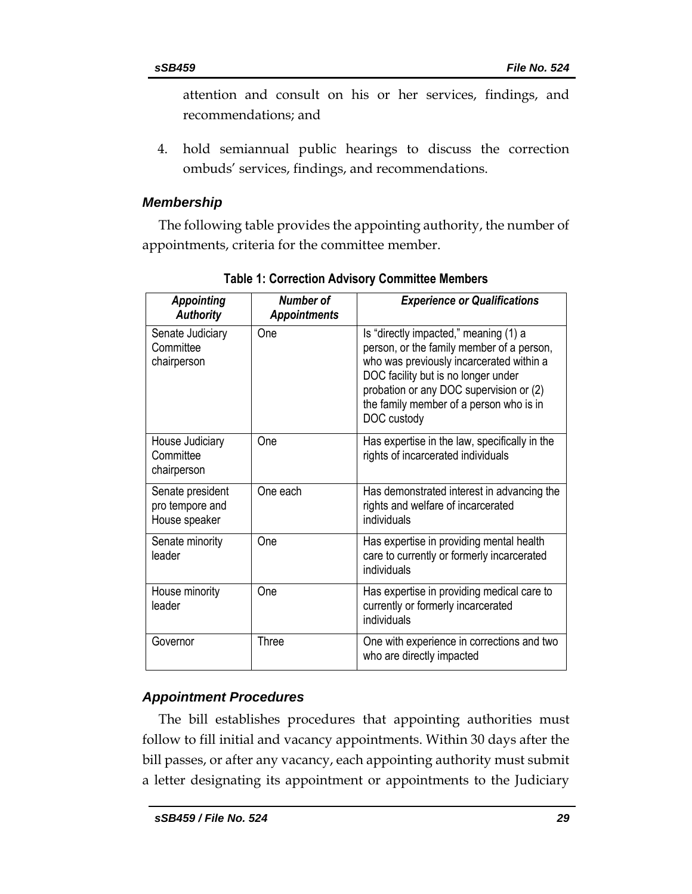attention and consult on his or her services, findings, and recommendations; and

4. hold semiannual public hearings to discuss the correction ombuds' services, findings, and recommendations.

## *Membership*

The following table provides the appointing authority, the number of appointments, criteria for the committee member.

| <b>Appointing</b><br><b>Authority</b>                | <b>Number of</b><br><b>Appointments</b> | <b>Experience or Qualifications</b>                                                                                                                                                                                                                                        |
|------------------------------------------------------|-----------------------------------------|----------------------------------------------------------------------------------------------------------------------------------------------------------------------------------------------------------------------------------------------------------------------------|
| Senate Judiciary<br>Committee<br>chairperson         | One                                     | Is "directly impacted," meaning (1) a<br>person, or the family member of a person,<br>who was previously incarcerated within a<br>DOC facility but is no longer under<br>probation or any DOC supervision or (2)<br>the family member of a person who is in<br>DOC custody |
| House Judiciary<br>Committee<br>chairperson          | One                                     | Has expertise in the law, specifically in the<br>rights of incarcerated individuals                                                                                                                                                                                        |
| Senate president<br>pro tempore and<br>House speaker | One each                                | Has demonstrated interest in advancing the<br>rights and welfare of incarcerated<br>individuals                                                                                                                                                                            |
| Senate minority<br>leader                            | One                                     | Has expertise in providing mental health<br>care to currently or formerly incarcerated<br>individuals                                                                                                                                                                      |
| House minority<br>leader                             | One                                     | Has expertise in providing medical care to<br>currently or formerly incarcerated<br>individuals                                                                                                                                                                            |
| Governor                                             | <b>Three</b>                            | One with experience in corrections and two<br>who are directly impacted                                                                                                                                                                                                    |

**Table 1: Correction Advisory Committee Members**

## *Appointment Procedures*

The bill establishes procedures that appointing authorities must follow to fill initial and vacancy appointments. Within 30 days after the bill passes, or after any vacancy, each appointing authority must submit a letter designating its appointment or appointments to the Judiciary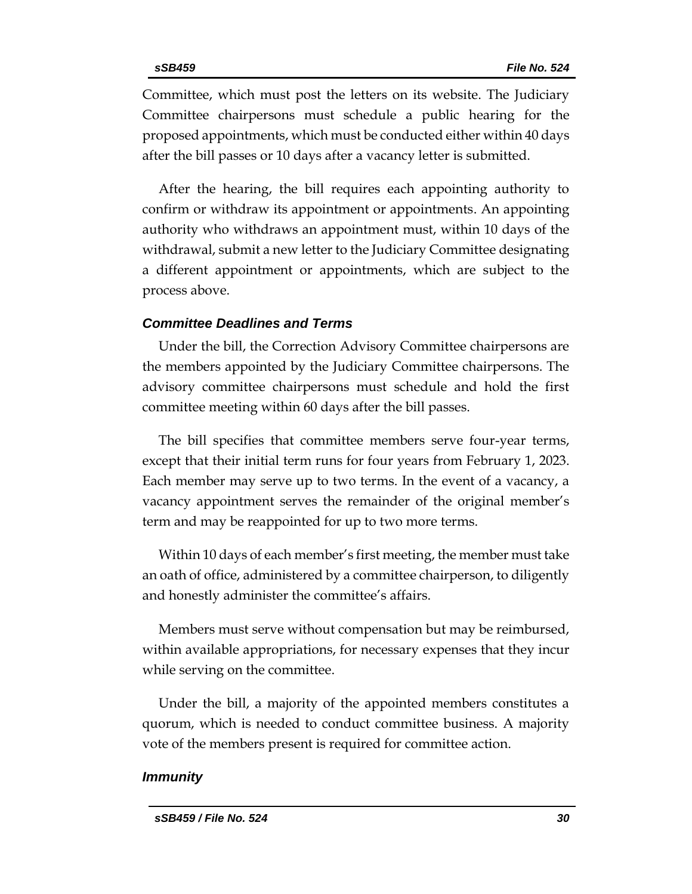Committee, which must post the letters on its website. The Judiciary Committee chairpersons must schedule a public hearing for the proposed appointments, which must be conducted either within 40 days after the bill passes or 10 days after a vacancy letter is submitted.

After the hearing, the bill requires each appointing authority to confirm or withdraw its appointment or appointments. An appointing authority who withdraws an appointment must, within 10 days of the withdrawal, submit a new letter to the Judiciary Committee designating a different appointment or appointments, which are subject to the process above.

## *Committee Deadlines and Terms*

Under the bill, the Correction Advisory Committee chairpersons are the members appointed by the Judiciary Committee chairpersons. The advisory committee chairpersons must schedule and hold the first committee meeting within 60 days after the bill passes.

The bill specifies that committee members serve four-year terms, except that their initial term runs for four years from February 1, 2023. Each member may serve up to two terms. In the event of a vacancy, a vacancy appointment serves the remainder of the original member's term and may be reappointed for up to two more terms.

Within 10 days of each member's first meeting, the member must take an oath of office, administered by a committee chairperson, to diligently and honestly administer the committee's affairs.

Members must serve without compensation but may be reimbursed, within available appropriations, for necessary expenses that they incur while serving on the committee.

Under the bill, a majority of the appointed members constitutes a quorum, which is needed to conduct committee business. A majority vote of the members present is required for committee action.

#### *Immunity*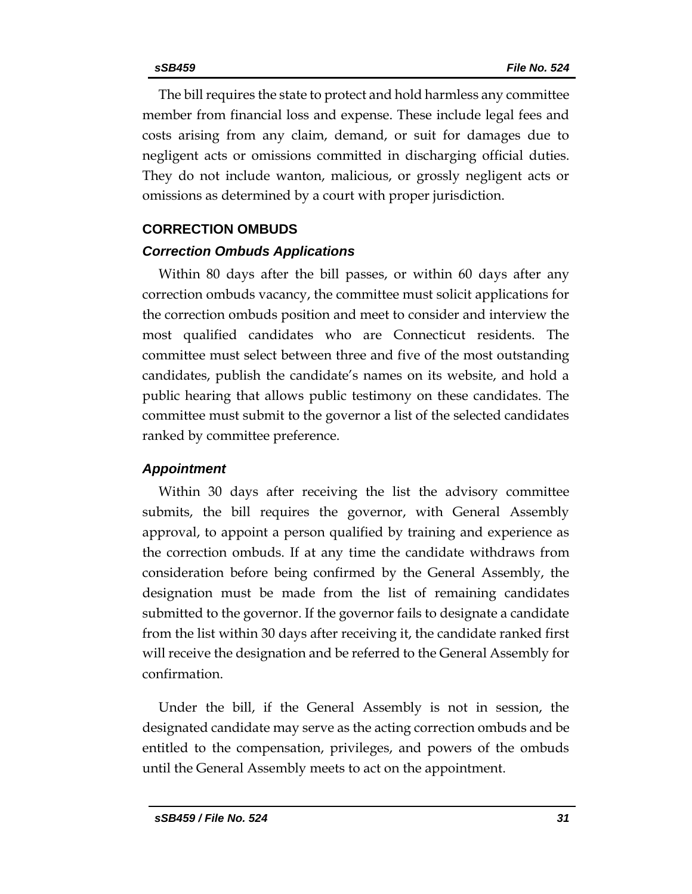The bill requires the state to protect and hold harmless any committee member from financial loss and expense. These include legal fees and costs arising from any claim, demand, or suit for damages due to negligent acts or omissions committed in discharging official duties. They do not include wanton, malicious, or grossly negligent acts or omissions as determined by a court with proper jurisdiction.

#### **CORRECTION OMBUDS**

#### *Correction Ombuds Applications*

Within 80 days after the bill passes, or within 60 days after any correction ombuds vacancy, the committee must solicit applications for the correction ombuds position and meet to consider and interview the most qualified candidates who are Connecticut residents. The committee must select between three and five of the most outstanding candidates, publish the candidate's names on its website, and hold a public hearing that allows public testimony on these candidates. The committee must submit to the governor a list of the selected candidates ranked by committee preference.

#### *Appointment*

Within 30 days after receiving the list the advisory committee submits, the bill requires the governor, with General Assembly approval, to appoint a person qualified by training and experience as the correction ombuds. If at any time the candidate withdraws from consideration before being confirmed by the General Assembly, the designation must be made from the list of remaining candidates submitted to the governor. If the governor fails to designate a candidate from the list within 30 days after receiving it, the candidate ranked first will receive the designation and be referred to the General Assembly for confirmation.

Under the bill, if the General Assembly is not in session, the designated candidate may serve as the acting correction ombuds and be entitled to the compensation, privileges, and powers of the ombuds until the General Assembly meets to act on the appointment.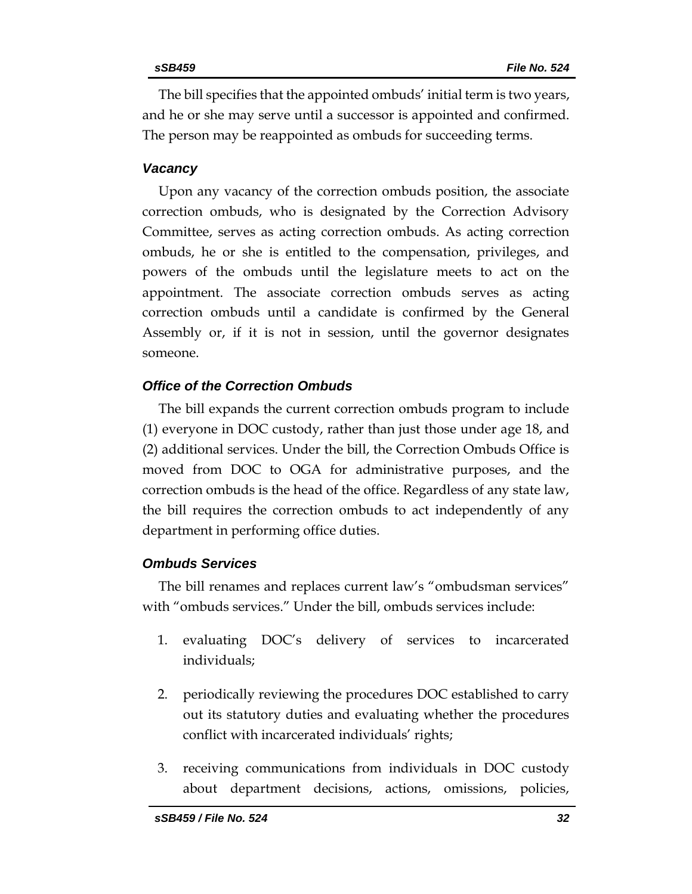The bill specifies that the appointed ombuds' initial term is two years, and he or she may serve until a successor is appointed and confirmed. The person may be reappointed as ombuds for succeeding terms.

#### *Vacancy*

Upon any vacancy of the correction ombuds position, the associate correction ombuds, who is designated by the Correction Advisory Committee, serves as acting correction ombuds. As acting correction ombuds, he or she is entitled to the compensation, privileges, and powers of the ombuds until the legislature meets to act on the appointment. The associate correction ombuds serves as acting correction ombuds until a candidate is confirmed by the General Assembly or, if it is not in session, until the governor designates someone.

## *Office of the Correction Ombuds*

The bill expands the current correction ombuds program to include (1) everyone in DOC custody, rather than just those under age 18, and (2) additional services. Under the bill, the Correction Ombuds Office is moved from DOC to OGA for administrative purposes, and the correction ombuds is the head of the office. Regardless of any state law, the bill requires the correction ombuds to act independently of any department in performing office duties.

## *Ombuds Services*

The bill renames and replaces current law's "ombudsman services" with "ombuds services." Under the bill, ombuds services include:

- 1. evaluating DOC's delivery of services to incarcerated individuals;
- 2. periodically reviewing the procedures DOC established to carry out its statutory duties and evaluating whether the procedures conflict with incarcerated individuals' rights;
- 3. receiving communications from individuals in DOC custody about department decisions, actions, omissions, policies,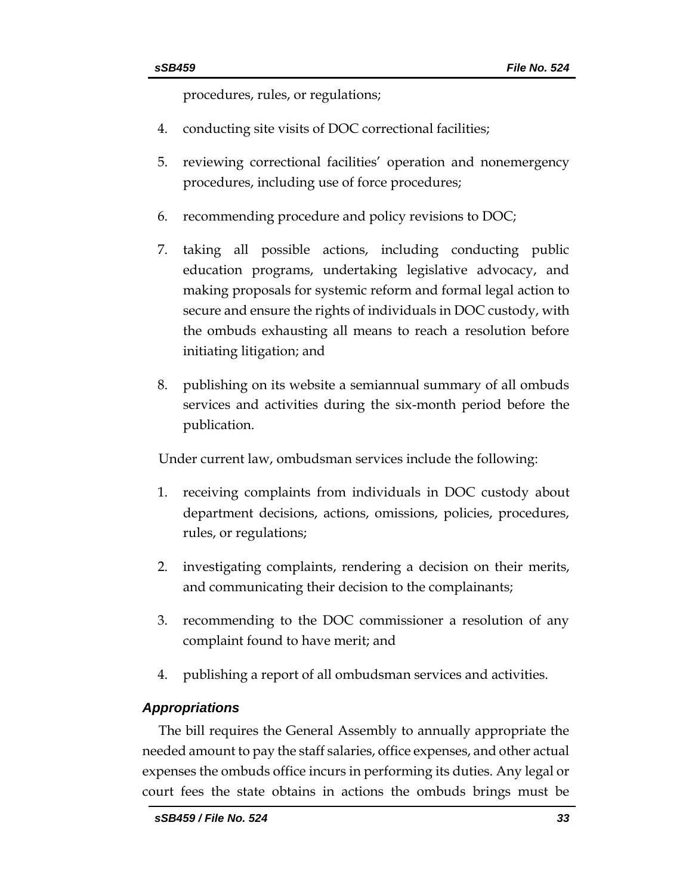procedures, rules, or regulations;

- 4. conducting site visits of DOC correctional facilities;
- 5. reviewing correctional facilities' operation and nonemergency procedures, including use of force procedures;
- 6. recommending procedure and policy revisions to DOC;
- 7. taking all possible actions, including conducting public education programs, undertaking legislative advocacy, and making proposals for systemic reform and formal legal action to secure and ensure the rights of individuals in DOC custody, with the ombuds exhausting all means to reach a resolution before initiating litigation; and
- 8. publishing on its website a semiannual summary of all ombuds services and activities during the six-month period before the publication.

Under current law, ombudsman services include the following:

- 1. receiving complaints from individuals in DOC custody about department decisions, actions, omissions, policies, procedures, rules, or regulations;
- 2. investigating complaints, rendering a decision on their merits, and communicating their decision to the complainants;
- 3. recommending to the DOC commissioner a resolution of any complaint found to have merit; and
- 4. publishing a report of all ombudsman services and activities.

## *Appropriations*

The bill requires the General Assembly to annually appropriate the needed amount to pay the staff salaries, office expenses, and other actual expenses the ombuds office incurs in performing its duties. Any legal or court fees the state obtains in actions the ombuds brings must be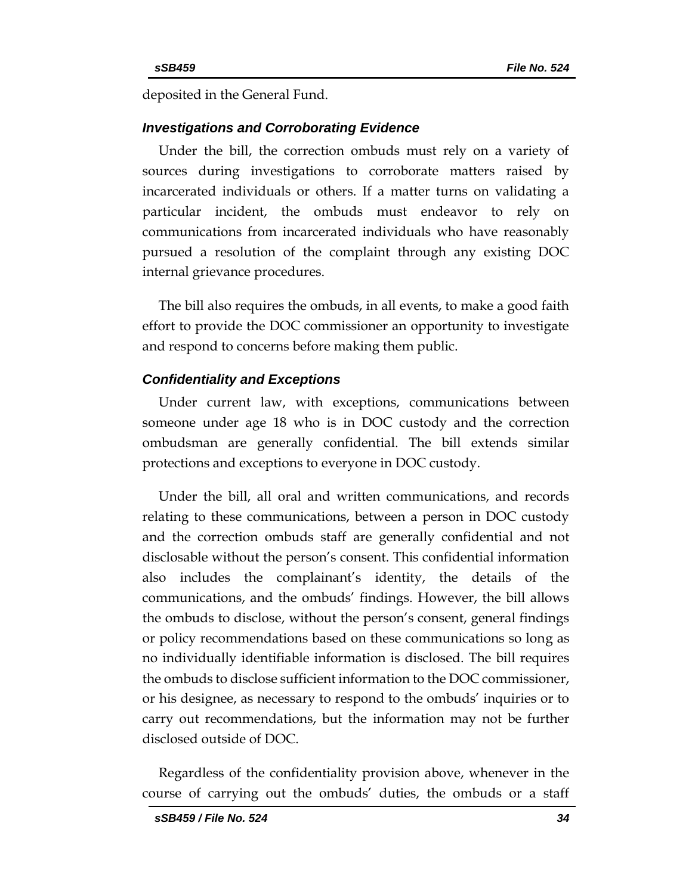deposited in the General Fund.

#### *Investigations and Corroborating Evidence*

Under the bill, the correction ombuds must rely on a variety of sources during investigations to corroborate matters raised by incarcerated individuals or others. If a matter turns on validating a particular incident, the ombuds must endeavor to rely on communications from incarcerated individuals who have reasonably pursued a resolution of the complaint through any existing DOC internal grievance procedures.

The bill also requires the ombuds, in all events, to make a good faith effort to provide the DOC commissioner an opportunity to investigate and respond to concerns before making them public.

#### *Confidentiality and Exceptions*

Under current law, with exceptions, communications between someone under age 18 who is in DOC custody and the correction ombudsman are generally confidential. The bill extends similar protections and exceptions to everyone in DOC custody.

Under the bill, all oral and written communications, and records relating to these communications, between a person in DOC custody and the correction ombuds staff are generally confidential and not disclosable without the person's consent. This confidential information also includes the complainant's identity, the details of the communications, and the ombuds' findings. However, the bill allows the ombuds to disclose, without the person's consent, general findings or policy recommendations based on these communications so long as no individually identifiable information is disclosed. The bill requires the ombuds to disclose sufficient information to the DOC commissioner, or his designee, as necessary to respond to the ombuds' inquiries or to carry out recommendations, but the information may not be further disclosed outside of DOC.

Regardless of the confidentiality provision above, whenever in the course of carrying out the ombuds' duties, the ombuds or a staff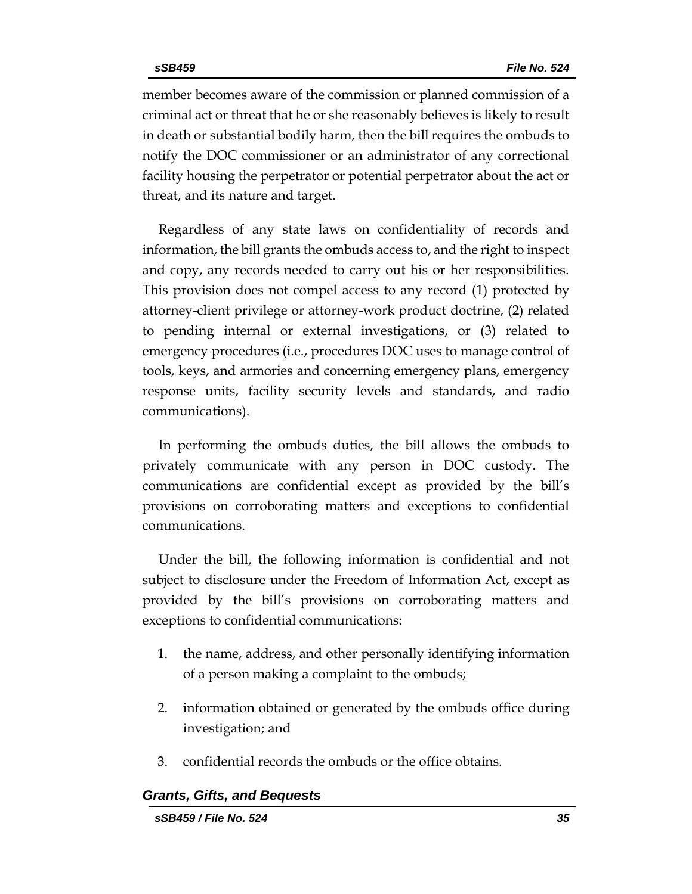member becomes aware of the commission or planned commission of a criminal act or threat that he or she reasonably believes is likely to result in death or substantial bodily harm, then the bill requires the ombuds to notify the DOC commissioner or an administrator of any correctional facility housing the perpetrator or potential perpetrator about the act or threat, and its nature and target.

Regardless of any state laws on confidentiality of records and information, the bill grants the ombuds access to, and the right to inspect and copy, any records needed to carry out his or her responsibilities. This provision does not compel access to any record (1) protected by attorney-client privilege or attorney-work product doctrine, (2) related to pending internal or external investigations, or (3) related to emergency procedures (i.e., procedures DOC uses to manage control of tools, keys, and armories and concerning emergency plans, emergency response units, facility security levels and standards, and radio communications).

In performing the ombuds duties, the bill allows the ombuds to privately communicate with any person in DOC custody. The communications are confidential except as provided by the bill's provisions on corroborating matters and exceptions to confidential communications.

Under the bill, the following information is confidential and not subject to disclosure under the Freedom of Information Act, except as provided by the bill's provisions on corroborating matters and exceptions to confidential communications:

- 1. the name, address, and other personally identifying information of a person making a complaint to the ombuds;
- 2. information obtained or generated by the ombuds office during investigation; and
- 3. confidential records the ombuds or the office obtains.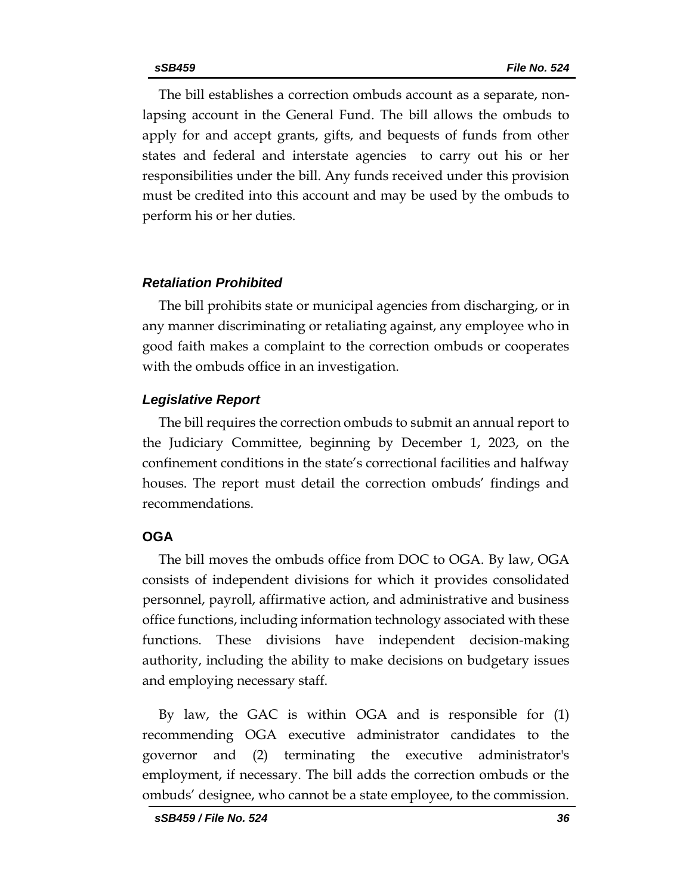The bill establishes a correction ombuds account as a separate, nonlapsing account in the General Fund. The bill allows the ombuds to apply for and accept grants, gifts, and bequests of funds from other states and federal and interstate agencies to carry out his or her responsibilities under the bill. Any funds received under this provision must be credited into this account and may be used by the ombuds to perform his or her duties.

#### *Retaliation Prohibited*

The bill prohibits state or municipal agencies from discharging, or in any manner discriminating or retaliating against, any employee who in good faith makes a complaint to the correction ombuds or cooperates with the ombuds office in an investigation.

#### *Legislative Report*

The bill requires the correction ombuds to submit an annual report to the Judiciary Committee, beginning by December 1, 2023, on the confinement conditions in the state's correctional facilities and halfway houses. The report must detail the correction ombuds' findings and recommendations.

#### **OGA**

The bill moves the ombuds office from DOC to OGA. By law, OGA consists of independent divisions for which it provides consolidated personnel, payroll, affirmative action, and administrative and business office functions, including information technology associated with these functions. These divisions have independent decision-making authority, including the ability to make decisions on budgetary issues and employing necessary staff.

By law, the GAC is within OGA and is responsible for (1) recommending OGA executive administrator candidates to the governor and (2) terminating the executive administrator's employment, if necessary. The bill adds the correction ombuds or the ombuds' designee, who cannot be a state employee, to the commission.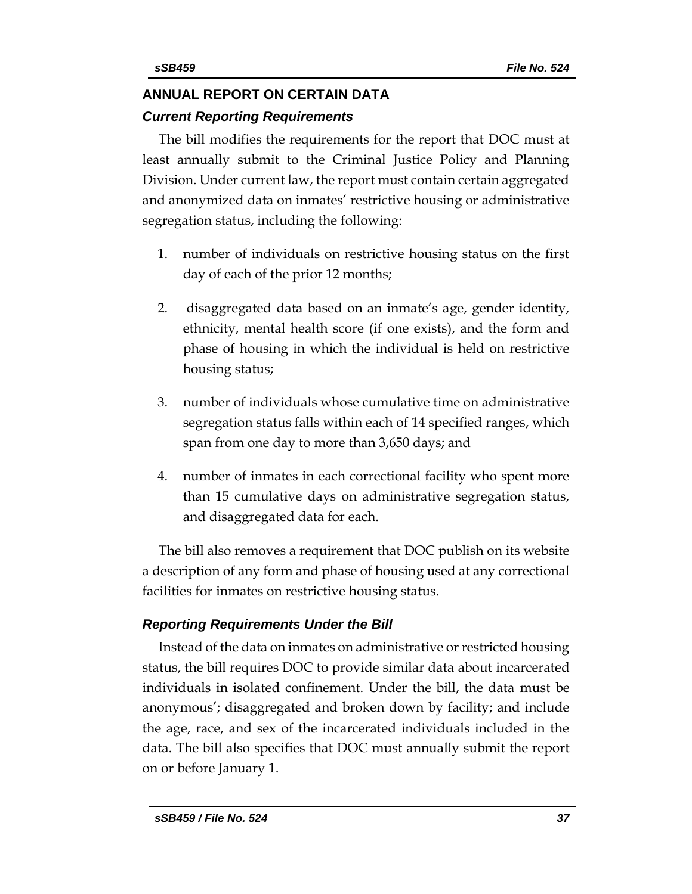## **ANNUAL REPORT ON CERTAIN DATA** *Current Reporting Requirements*

The bill modifies the requirements for the report that DOC must at least annually submit to the Criminal Justice Policy and Planning Division. Under current law, the report must contain certain aggregated and anonymized data on inmates' restrictive housing or administrative segregation status, including the following:

- 1. number of individuals on restrictive housing status on the first day of each of the prior 12 months;
- 2. disaggregated data based on an inmate's age, gender identity, ethnicity, mental health score (if one exists), and the form and phase of housing in which the individual is held on restrictive housing status;
- 3. number of individuals whose cumulative time on administrative segregation status falls within each of 14 specified ranges, which span from one day to more than 3,650 days; and
- 4. number of inmates in each correctional facility who spent more than 15 cumulative days on administrative segregation status, and disaggregated data for each.

The bill also removes a requirement that DOC publish on its website a description of any form and phase of housing used at any correctional facilities for inmates on restrictive housing status.

## *Reporting Requirements Under the Bill*

Instead of the data on inmates on administrative or restricted housing status, the bill requires DOC to provide similar data about incarcerated individuals in isolated confinement. Under the bill, the data must be anonymous'; disaggregated and broken down by facility; and include the age, race, and sex of the incarcerated individuals included in the data. The bill also specifies that DOC must annually submit the report on or before January 1.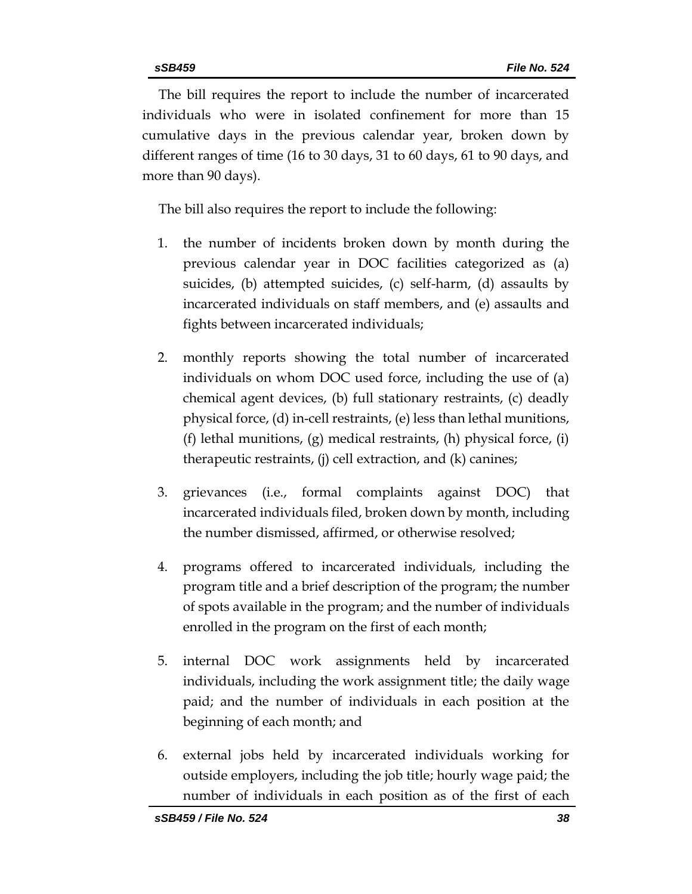The bill requires the report to include the number of incarcerated individuals who were in isolated confinement for more than 15 cumulative days in the previous calendar year, broken down by different ranges of time (16 to 30 days, 31 to 60 days, 61 to 90 days, and more than 90 days).

The bill also requires the report to include the following:

- 1. the number of incidents broken down by month during the previous calendar year in DOC facilities categorized as (a) suicides, (b) attempted suicides, (c) self-harm, (d) assaults by incarcerated individuals on staff members, and (e) assaults and fights between incarcerated individuals;
- 2. monthly reports showing the total number of incarcerated individuals on whom DOC used force, including the use of (a) chemical agent devices, (b) full stationary restraints, (c) deadly physical force, (d) in-cell restraints, (e) less than lethal munitions, (f) lethal munitions, (g) medical restraints, (h) physical force, (i) therapeutic restraints, (j) cell extraction, and (k) canines;
- 3. grievances (i.e., formal complaints against DOC) that incarcerated individuals filed, broken down by month, including the number dismissed, affirmed, or otherwise resolved;
- 4. programs offered to incarcerated individuals, including the program title and a brief description of the program; the number of spots available in the program; and the number of individuals enrolled in the program on the first of each month;
- 5. internal DOC work assignments held by incarcerated individuals, including the work assignment title; the daily wage paid; and the number of individuals in each position at the beginning of each month; and
- 6. external jobs held by incarcerated individuals working for outside employers, including the job title; hourly wage paid; the number of individuals in each position as of the first of each